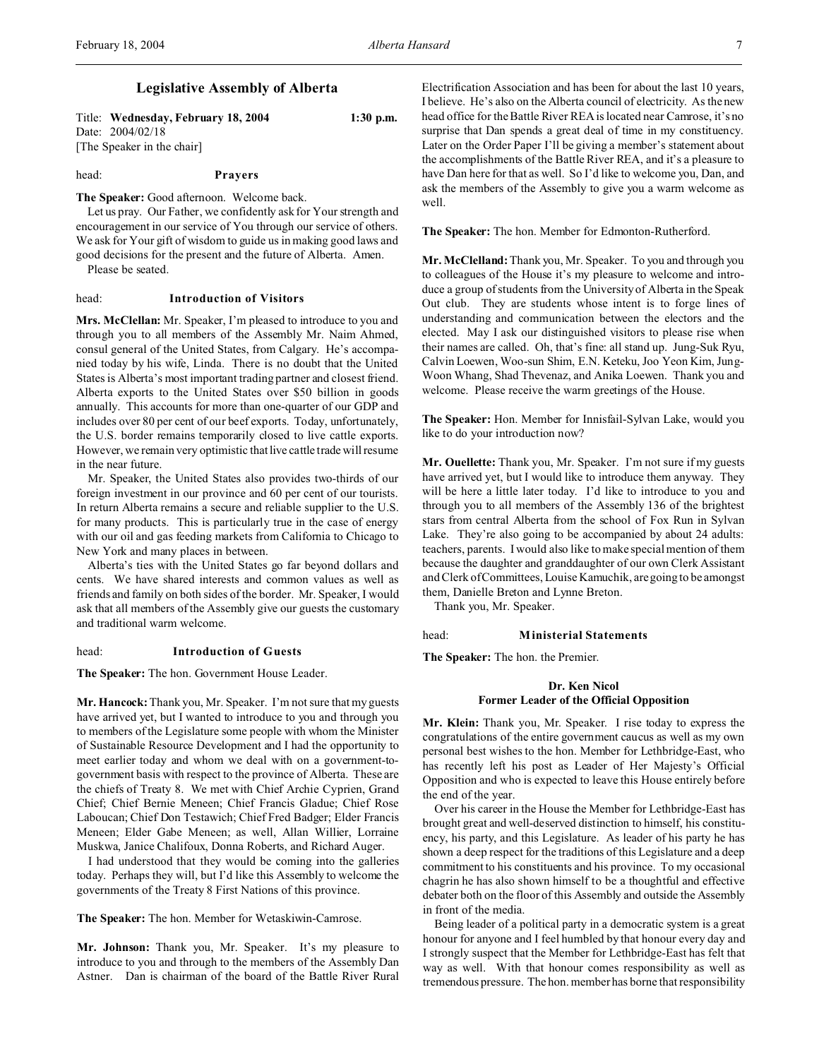### Title: **Wednesday, February 18, 2004 1:30 p.m.** Date: 2004/02/18 [The Speaker in the chair]

### head: **Prayers**

**The Speaker:** Good afternoon. Welcome back.

Let us pray. Our Father, we confidently ask for Your strength and encouragement in our service of You through our service of others. We ask for Your gift of wisdom to guide us in making good laws and good decisions for the present and the future of Alberta. Amen. Please be seated.

### head: **Introduction of Visitors**

**Mrs. McClellan:** Mr. Speaker, I'm pleased to introduce to you and through you to all members of the Assembly Mr. Naim Ahmed, consul general of the United States, from Calgary. He's accompanied today by his wife, Linda. There is no doubt that the United States is Alberta's most important trading partner and closest friend. Alberta exports to the United States over \$50 billion in goods annually. This accounts for more than one-quarter of our GDP and includes over 80 per cent of our beef exports. Today, unfortunately, the U.S. border remains temporarily closed to live cattle exports. However, we remain very optimistic that live cattle trade will resume in the near future.

Mr. Speaker, the United States also provides two-thirds of our foreign investment in our province and 60 per cent of our tourists. In return Alberta remains a secure and reliable supplier to the U.S. for many products. This is particularly true in the case of energy with our oil and gas feeding markets from California to Chicago to New York and many places in between.

Alberta's ties with the United States go far beyond dollars and cents. We have shared interests and common values as well as friends and family on both sides of the border. Mr. Speaker, I would ask that all members of the Assembly give our guests the customary and traditional warm welcome.

### head: **Introduction of Guests**

**The Speaker:** The hon. Government House Leader.

**Mr. Hancock:** Thank you, Mr. Speaker. I'm not sure that my guests have arrived yet, but I wanted to introduce to you and through you to members of the Legislature some people with whom the Minister of Sustainable Resource Development and I had the opportunity to meet earlier today and whom we deal with on a government-togovernment basis with respect to the province of Alberta. These are the chiefs of Treaty 8. We met with Chief Archie Cyprien, Grand Chief; Chief Bernie Meneen; Chief Francis Gladue; Chief Rose Laboucan; Chief Don Testawich; Chief Fred Badger; Elder Francis Meneen; Elder Gabe Meneen; as well, Allan Willier, Lorraine Muskwa, Janice Chalifoux, Donna Roberts, and Richard Auger.

I had understood that they would be coming into the galleries today. Perhaps they will, but I'd like this Assembly to welcome the governments of the Treaty 8 First Nations of this province.

**The Speaker:** The hon. Member for Wetaskiwin-Camrose.

**Mr. Johnson:** Thank you, Mr. Speaker. It's my pleasure to introduce to you and through to the members of the Assembly Dan Astner. Dan is chairman of the board of the Battle River Rural Electrification Association and has been for about the last 10 years, I believe. He's also on the Alberta council of electricity. As the new head office for the Battle River REA is located near Camrose, it's no surprise that Dan spends a great deal of time in my constituency. Later on the Order Paper I'll be giving a member's statement about the accomplishments of the Battle River REA, and it's a pleasure to have Dan here for that as well. So I'd like to welcome you, Dan, and ask the members of the Assembly to give you a warm welcome as well.

**The Speaker:** The hon. Member for Edmonton-Rutherford.

**Mr. McClelland:** Thank you, Mr. Speaker. To you and through you to colleagues of the House it's my pleasure to welcome and introduce a group of students from the University of Alberta in the Speak Out club. They are students whose intent is to forge lines of understanding and communication between the electors and the elected. May I ask our distinguished visitors to please rise when their names are called. Oh, that's fine: all stand up. Jung-Suk Ryu, Calvin Loewen, Woo-sun Shim, E.N. Keteku, Joo Yeon Kim, Jung-Woon Whang, Shad Thevenaz, and Anika Loewen. Thank you and welcome. Please receive the warm greetings of the House.

**The Speaker:** Hon. Member for Innisfail-Sylvan Lake, would you like to do your introduction now?

**Mr. Ouellette:** Thank you, Mr. Speaker. I'm not sure if my guests have arrived yet, but I would like to introduce them anyway. They will be here a little later today. I'd like to introduce to you and through you to all members of the Assembly 136 of the brightest stars from central Alberta from the school of Fox Run in Sylvan Lake. They're also going to be accompanied by about 24 adults: teachers, parents. I would also like to make special mention of them because the daughter and granddaughter of our own Clerk Assistant and Clerk of Committees, Louise Kamuchik, are going to be amongst them, Danielle Breton and Lynne Breton.

Thank you, Mr. Speaker.

head: **Ministerial Statements**

**The Speaker:** The hon. the Premier.

### **Dr. Ken Nicol Former Leader of the Official Opposition**

**Mr. Klein:** Thank you, Mr. Speaker. I rise today to express the congratulations of the entire government caucus as well as my own personal best wishes to the hon. Member for Lethbridge-East, who has recently left his post as Leader of Her Majesty's Official Opposition and who is expected to leave this House entirely before the end of the year.

Over his career in the House the Member for Lethbridge-East has brought great and well-deserved distinction to himself, his constituency, his party, and this Legislature. As leader of his party he has shown a deep respect for the traditions of this Legislature and a deep commitment to his constituents and his province. To my occasional chagrin he has also shown himself to be a thoughtful and effective debater both on the floor of this Assembly and outside the Assembly in front of the media.

Being leader of a political party in a democratic system is a great honour for anyone and I feel humbled by that honour every day and I strongly suspect that the Member for Lethbridge-East has felt that way as well. With that honour comes responsibility as well as tremendous pressure. The hon. member has borne that responsibility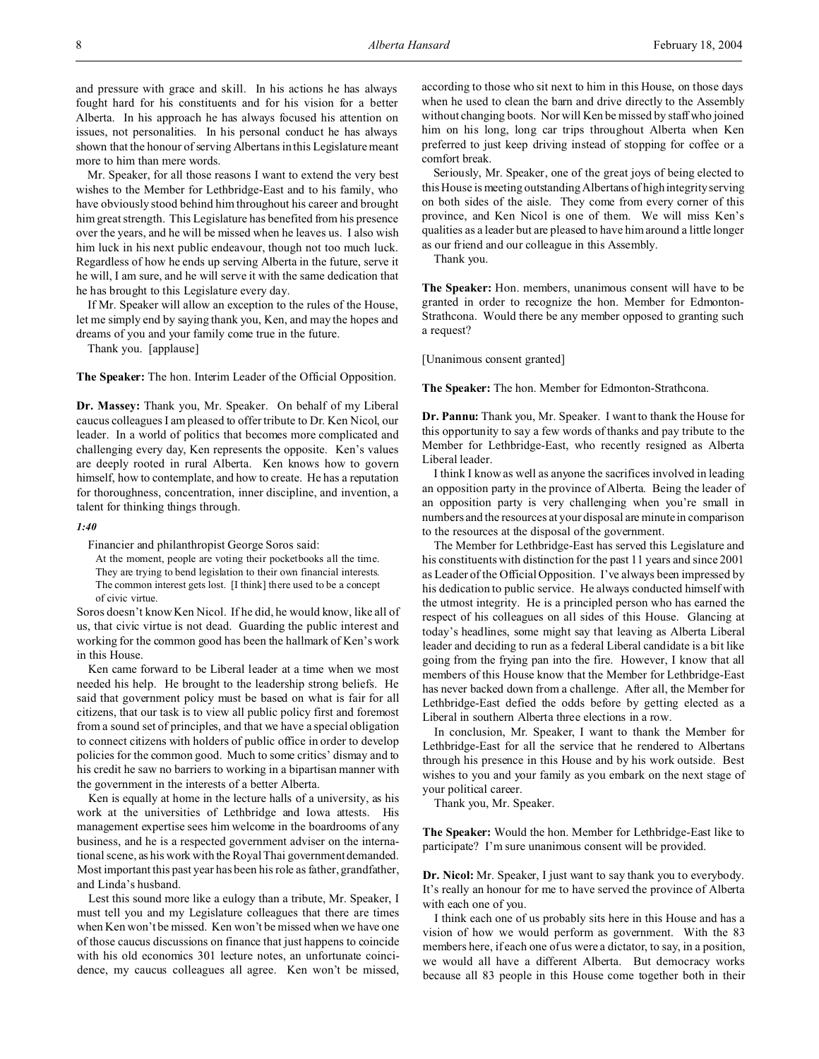and pressure with grace and skill. In his actions he has always fought hard for his constituents and for his vision for a better Alberta. In his approach he has always focused his attention on issues, not personalities. In his personal conduct he has always shown that the honour of serving Albertans in this Legislature meant more to him than mere words.

Mr. Speaker, for all those reasons I want to extend the very best wishes to the Member for Lethbridge-East and to his family, who have obviously stood behind him throughout his career and brought him great strength. This Legislature has benefited from his presence over the years, and he will be missed when he leaves us. I also wish him luck in his next public endeavour, though not too much luck. Regardless of how he ends up serving Alberta in the future, serve it he will, I am sure, and he will serve it with the same dedication that he has brought to this Legislature every day.

If Mr. Speaker will allow an exception to the rules of the House, let me simply end by saying thank you, Ken, and may the hopes and dreams of you and your family come true in the future.

Thank you. [applause]

**The Speaker:** The hon. Interim Leader of the Official Opposition.

**Dr. Massey:** Thank you, Mr. Speaker. On behalf of my Liberal caucus colleagues I am pleased to offer tribute to Dr. Ken Nicol, our leader. In a world of politics that becomes more complicated and challenging every day, Ken represents the opposite. Ken's values are deeply rooted in rural Alberta. Ken knows how to govern himself, how to contemplate, and how to create. He has a reputation for thoroughness, concentration, inner discipline, and invention, a talent for thinking things through.

### *1:40*

Financier and philanthropist George Soros said:

At the moment, people are voting their pocketbooks all the time. They are trying to bend legislation to their own financial interests. The common interest gets lost. [I think] there used to be a concept of civic virtue.

Soros doesn't know Ken Nicol. If he did, he would know, like all of us, that civic virtue is not dead. Guarding the public interest and working for the common good has been the hallmark of Ken's work in this House.

Ken came forward to be Liberal leader at a time when we most needed his help. He brought to the leadership strong beliefs. He said that government policy must be based on what is fair for all citizens, that our task is to view all public policy first and foremost from a sound set of principles, and that we have a special obligation to connect citizens with holders of public office in order to develop policies for the common good. Much to some critics' dismay and to his credit he saw no barriers to working in a bipartisan manner with the government in the interests of a better Alberta.

Ken is equally at home in the lecture halls of a university, as his work at the universities of Lethbridge and Iowa attests. His management expertise sees him welcome in the boardrooms of any business, and he is a respected government adviser on the international scene, as his work with the Royal Thai government demanded. Most important this past year has been his role as father, grandfather, and Linda's husband.

Lest this sound more like a eulogy than a tribute, Mr. Speaker, I must tell you and my Legislature colleagues that there are times when Ken won't be missed. Ken won't be missed when we have one of those caucus discussions on finance that just happens to coincide with his old economics 301 lecture notes, an unfortunate coincidence, my caucus colleagues all agree. Ken won't be missed,

according to those who sit next to him in this House, on those days when he used to clean the barn and drive directly to the Assembly without changing boots. Nor will Ken be missed by staff who joined him on his long, long car trips throughout Alberta when Ken preferred to just keep driving instead of stopping for coffee or a comfort break.

Seriously, Mr. Speaker, one of the great joys of being elected to this House is meeting outstanding Albertans of high integrity serving on both sides of the aisle. They come from every corner of this province, and Ken Nicol is one of them. We will miss Ken's qualities as a leader but are pleased to have him around a little longer as our friend and our colleague in this Assembly.

Thank you.

**The Speaker:** Hon. members, unanimous consent will have to be granted in order to recognize the hon. Member for Edmonton-Strathcona. Would there be any member opposed to granting such a request?

[Unanimous consent granted]

**The Speaker:** The hon. Member for Edmonton-Strathcona.

**Dr. Pannu:** Thank you, Mr. Speaker. I want to thank the House for this opportunity to say a few words of thanks and pay tribute to the Member for Lethbridge-East, who recently resigned as Alberta Liberal leader.

I think I know as well as anyone the sacrifices involved in leading an opposition party in the province of Alberta. Being the leader of an opposition party is very challenging when you're small in numbers and the resources at your disposal are minute in comparison to the resources at the disposal of the government.

The Member for Lethbridge-East has served this Legislature and his constituents with distinction for the past 11 years and since 2001 as Leader of the Official Opposition. I've always been impressed by his dedication to public service. He always conducted himself with the utmost integrity. He is a principled person who has earned the respect of his colleagues on all sides of this House. Glancing at today's headlines, some might say that leaving as Alberta Liberal leader and deciding to run as a federal Liberal candidate is a bit like going from the frying pan into the fire. However, I know that all members of this House know that the Member for Lethbridge-East has never backed down from a challenge. After all, the Member for Lethbridge-East defied the odds before by getting elected as a Liberal in southern Alberta three elections in a row.

In conclusion, Mr. Speaker, I want to thank the Member for Lethbridge-East for all the service that he rendered to Albertans through his presence in this House and by his work outside. Best wishes to you and your family as you embark on the next stage of your political career.

Thank you, Mr. Speaker.

**The Speaker:** Would the hon. Member for Lethbridge-East like to participate? I'm sure unanimous consent will be provided.

**Dr. Nicol:** Mr. Speaker, I just want to say thank you to everybody. It's really an honour for me to have served the province of Alberta with each one of you.

I think each one of us probably sits here in this House and has a vision of how we would perform as government. With the 83 members here, if each one of us were a dictator, to say, in a position, we would all have a different Alberta. But democracy works because all 83 people in this House come together both in their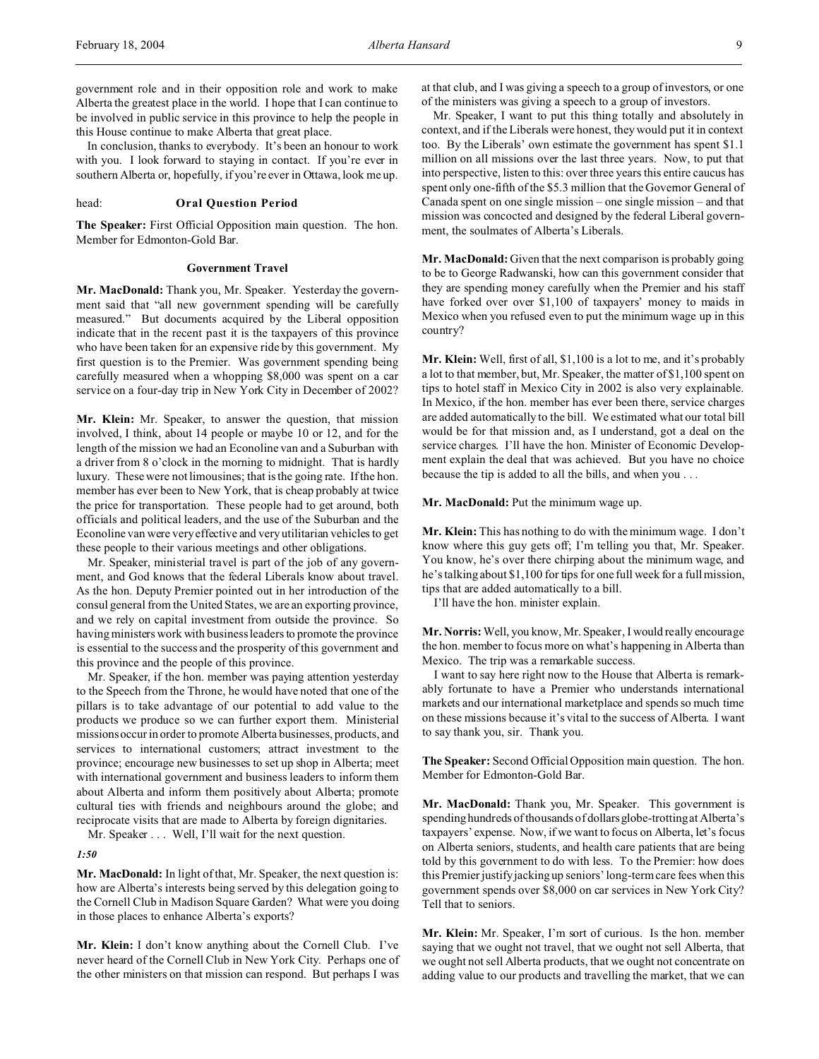government role and in their opposition role and work to make Alberta the greatest place in the world. I hope that I can continue to be involved in public service in this province to help the people in this House continue to make Alberta that great place.

In conclusion, thanks to everybody. It's been an honour to work with you. I look forward to staying in contact. If you're ever in southern Alberta or, hopefully, if you're ever in Ottawa, look me up.

### head: **Oral Question Period**

**The Speaker:** First Official Opposition main question. The hon. Member for Edmonton-Gold Bar.

### **Government Travel**

**Mr. MacDonald:** Thank you, Mr. Speaker. Yesterday the government said that "all new government spending will be carefully measured." But documents acquired by the Liberal opposition indicate that in the recent past it is the taxpayers of this province who have been taken for an expensive ride by this government. My first question is to the Premier. Was government spending being carefully measured when a whopping \$8,000 was spent on a car service on a four-day trip in New York City in December of 2002?

**Mr. Klein:** Mr. Speaker, to answer the question, that mission involved, I think, about 14 people or maybe 10 or 12, and for the length of the mission we had an Econoline van and a Suburban with a driver from 8 o'clock in the morning to midnight. That is hardly luxury. These were not limousines; that is the going rate. If the hon. member has ever been to New York, that is cheap probably at twice the price for transportation. These people had to get around, both officials and political leaders, and the use of the Suburban and the Econoline van were very effective and very utilitarian vehicles to get these people to their various meetings and other obligations.

Mr. Speaker, ministerial travel is part of the job of any government, and God knows that the federal Liberals know about travel. As the hon. Deputy Premier pointed out in her introduction of the consul general from the United States, we are an exporting province, and we rely on capital investment from outside the province. So having ministers work with business leaders to promote the province is essential to the success and the prosperity of this government and this province and the people of this province.

Mr. Speaker, if the hon. member was paying attention yesterday to the Speech from the Throne, he would have noted that one of the pillars is to take advantage of our potential to add value to the products we produce so we can further export them. Ministerial missions occur in order to promote Alberta businesses, products, and services to international customers; attract investment to the province; encourage new businesses to set up shop in Alberta; meet with international government and business leaders to inform them about Alberta and inform them positively about Alberta; promote cultural ties with friends and neighbours around the globe; and reciprocate visits that are made to Alberta by foreign dignitaries.

Mr. Speaker . . . Well, I'll wait for the next question.

### *1:50*

**Mr. MacDonald:** In light of that, Mr. Speaker, the next question is: how are Alberta's interests being served by this delegation going to the Cornell Club in Madison Square Garden? What were you doing in those places to enhance Alberta's exports?

**Mr. Klein:** I don't know anything about the Cornell Club. I've never heard of the Cornell Club in New York City. Perhaps one of the other ministers on that mission can respond. But perhaps I was

at that club, and I was giving a speech to a group of investors, or one of the ministers was giving a speech to a group of investors.

Mr. Speaker, I want to put this thing totally and absolutely in context, and if the Liberals were honest, they would put it in context too. By the Liberals' own estimate the government has spent \$1.1 million on all missions over the last three years. Now, to put that into perspective, listen to this: over three years this entire caucus has spent only one-fifth of the \$5.3 million that the Governor General of Canada spent on one single mission – one single mission – and that mission was concocted and designed by the federal Liberal government, the soulmates of Alberta's Liberals.

**Mr. MacDonald:** Given that the next comparison is probably going to be to George Radwanski, how can this government consider that they are spending money carefully when the Premier and his staff have forked over over \$1,100 of taxpayers' money to maids in Mexico when you refused even to put the minimum wage up in this country?

**Mr. Klein:** Well, first of all, \$1,100 is a lot to me, and it's probably a lot to that member, but, Mr. Speaker, the matter of \$1,100 spent on tips to hotel staff in Mexico City in 2002 is also very explainable. In Mexico, if the hon. member has ever been there, service charges are added automatically to the bill. We estimated what our total bill would be for that mission and, as I understand, got a deal on the service charges. I'll have the hon. Minister of Economic Development explain the deal that was achieved. But you have no choice because the tip is added to all the bills, and when you . . .

**Mr. MacDonald:** Put the minimum wage up.

**Mr. Klein:** This has nothing to do with the minimum wage. I don't know where this guy gets off; I'm telling you that, Mr. Speaker. You know, he's over there chirping about the minimum wage, and he's talking about \$1,100 for tips for one full week for a full mission, tips that are added automatically to a bill.

I'll have the hon. minister explain.

**Mr. Norris:**Well, you know, Mr. Speaker, I would really encourage the hon. member to focus more on what's happening in Alberta than Mexico. The trip was a remarkable success.

I want to say here right now to the House that Alberta is remarkably fortunate to have a Premier who understands international markets and our international marketplace and spends so much time on these missions because it's vital to the success of Alberta. I want to say thank you, sir. Thank you.

**The Speaker:** Second Official Opposition main question. The hon. Member for Edmonton-Gold Bar.

**Mr. MacDonald:** Thank you, Mr. Speaker. This government is spending hundreds of thousands of dollarsglobe-trotting at Alberta's taxpayers' expense. Now, if we want to focus on Alberta, let's focus on Alberta seniors, students, and health care patients that are being told by this government to do with less. To the Premier: how does this Premier justify jacking up seniors' long-term care fees when this government spends over \$8,000 on car services in New York City? Tell that to seniors.

**Mr. Klein:** Mr. Speaker, I'm sort of curious. Is the hon. member saying that we ought not travel, that we ought not sell Alberta, that we ought not sell Alberta products, that we ought not concentrate on adding value to our products and travelling the market, that we can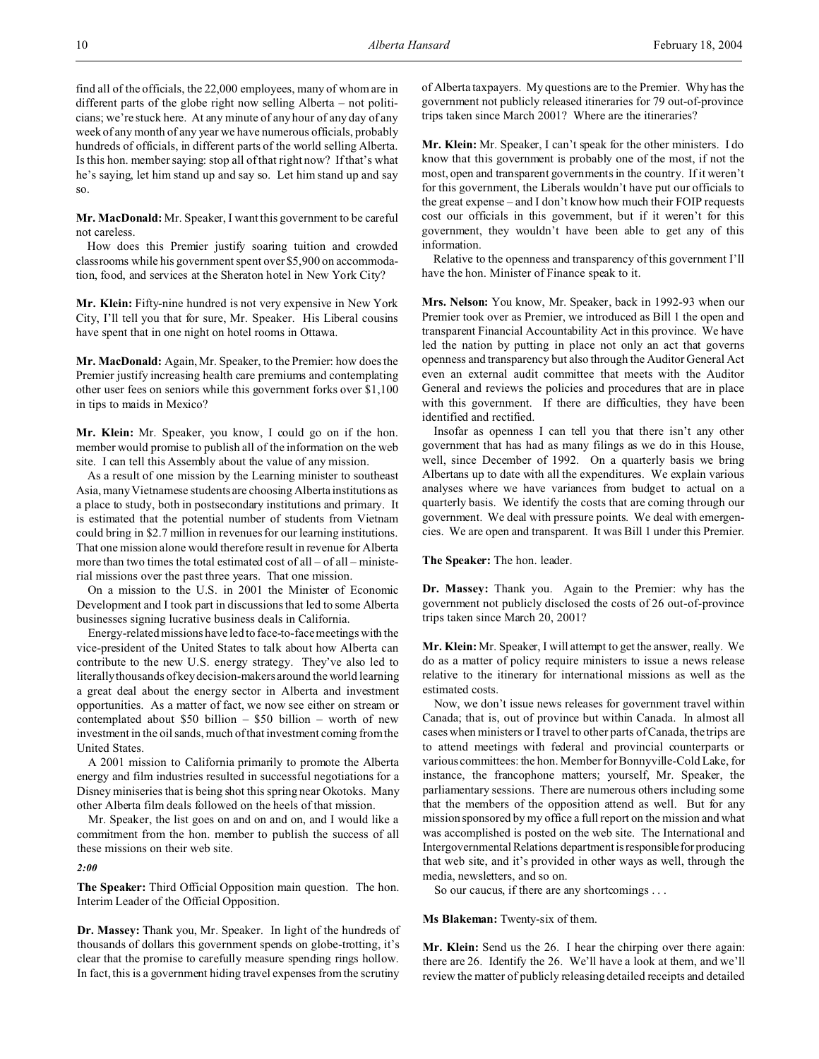find all of the officials, the 22,000 employees, many of whom are in different parts of the globe right now selling Alberta – not politicians; we're stuck here. At any minute of any hour of any day of any week of any month of any year we have numerous officials, probably hundreds of officials, in different parts of the world selling Alberta. Is this hon. member saying: stop all of that right now? If that's what he's saying, let him stand up and say so. Let him stand up and say so.

**Mr. MacDonald:** Mr. Speaker, I want this government to be careful not careless.

How does this Premier justify soaring tuition and crowded classrooms while his government spent over \$5,900 on accommodation, food, and services at the Sheraton hotel in New York City?

**Mr. Klein:** Fifty-nine hundred is not very expensive in New York City, I'll tell you that for sure, Mr. Speaker. His Liberal cousins have spent that in one night on hotel rooms in Ottawa.

**Mr. MacDonald:** Again, Mr. Speaker, to the Premier: how does the Premier justify increasing health care premiums and contemplating other user fees on seniors while this government forks over \$1,100 in tips to maids in Mexico?

**Mr. Klein:** Mr. Speaker, you know, I could go on if the hon. member would promise to publish all of the information on the web site. I can tell this Assembly about the value of any mission.

As a result of one mission by the Learning minister to southeast Asia, many Vietnamese students are choosing Alberta institutions as a place to study, both in postsecondary institutions and primary. It is estimated that the potential number of students from Vietnam could bring in \$2.7 million in revenues for our learning institutions. That one mission alone would therefore result in revenue for Alberta more than two times the total estimated cost of all – of all – ministerial missions over the past three years. That one mission.

On a mission to the U.S. in 2001 the Minister of Economic Development and I took part in discussions that led to some Alberta businesses signing lucrative business deals in California.

Energy-related missions have led to face-to-face meetings with the vice-president of the United States to talk about how Alberta can contribute to the new U.S. energy strategy. They've also led to literally thousands of key decision-makers around the world learning a great deal about the energy sector in Alberta and investment opportunities. As a matter of fact, we now see either on stream or contemplated about  $$50$  billion –  $$50$  billion – worth of new investment in the oil sands, much of that investment coming from the United States.

A 2001 mission to California primarily to promote the Alberta energy and film industries resulted in successful negotiations for a Disney miniseries that is being shot this spring near Okotoks. Many other Alberta film deals followed on the heels of that mission.

Mr. Speaker, the list goes on and on and on, and I would like a commitment from the hon. member to publish the success of all these missions on their web site.

*2:00*

**The Speaker:** Third Official Opposition main question. The hon. Interim Leader of the Official Opposition.

**Dr. Massey:** Thank you, Mr. Speaker. In light of the hundreds of thousands of dollars this government spends on globe-trotting, it's clear that the promise to carefully measure spending rings hollow. In fact, this is a government hiding travel expenses from the scrutiny

of Alberta taxpayers. My questions are to the Premier. Why has the government not publicly released itineraries for 79 out-of-province trips taken since March 2001? Where are the itineraries?

**Mr. Klein:** Mr. Speaker, I can't speak for the other ministers. I do know that this government is probably one of the most, if not the most, open and transparent governments in the country. If it weren't for this government, the Liberals wouldn't have put our officials to the great expense – and I don't know how much their FOIP requests cost our officials in this government, but if it weren't for this government, they wouldn't have been able to get any of this information.

Relative to the openness and transparency of this government I'll have the hon. Minister of Finance speak to it.

**Mrs. Nelson:** You know, Mr. Speaker, back in 1992-93 when our Premier took over as Premier, we introduced as Bill 1 the open and transparent Financial Accountability Act in this province. We have led the nation by putting in place not only an act that governs openness and transparency but also through the Auditor General Act even an external audit committee that meets with the Auditor General and reviews the policies and procedures that are in place with this government. If there are difficulties, they have been identified and rectified.

Insofar as openness I can tell you that there isn't any other government that has had as many filings as we do in this House, well, since December of 1992. On a quarterly basis we bring Albertans up to date with all the expenditures. We explain various analyses where we have variances from budget to actual on a quarterly basis. We identify the costs that are coming through our government. We deal with pressure points. We deal with emergencies. We are open and transparent. It was Bill 1 under this Premier.

**The Speaker:** The hon. leader.

**Dr. Massey:** Thank you. Again to the Premier: why has the government not publicly disclosed the costs of 26 out-of-province trips taken since March 20, 2001?

**Mr. Klein:** Mr. Speaker, I will attempt to get the answer, really. We do as a matter of policy require ministers to issue a news release relative to the itinerary for international missions as well as the estimated costs.

Now, we don't issue news releases for government travel within Canada; that is, out of province but within Canada. In almost all cases when ministers or I travel to other parts of Canada, the trips are to attend meetings with federal and provincial counterparts or various committees: the hon. Member for Bonnyville-Cold Lake, for instance, the francophone matters; yourself, Mr. Speaker, the parliamentary sessions. There are numerous others including some that the members of the opposition attend as well. But for any mission sponsored by my office a full report on the mission and what was accomplished is posted on the web site. The International and Intergovernmental Relations department is responsible for producing that web site, and it's provided in other ways as well, through the media, newsletters, and so on.

So our caucus, if there are any shortcomings . . .

**Ms Blakeman:** Twenty-six of them.

**Mr. Klein:** Send us the 26. I hear the chirping over there again: there are 26. Identify the 26. We'll have a look at them, and we'll review the matter of publicly releasing detailed receipts and detailed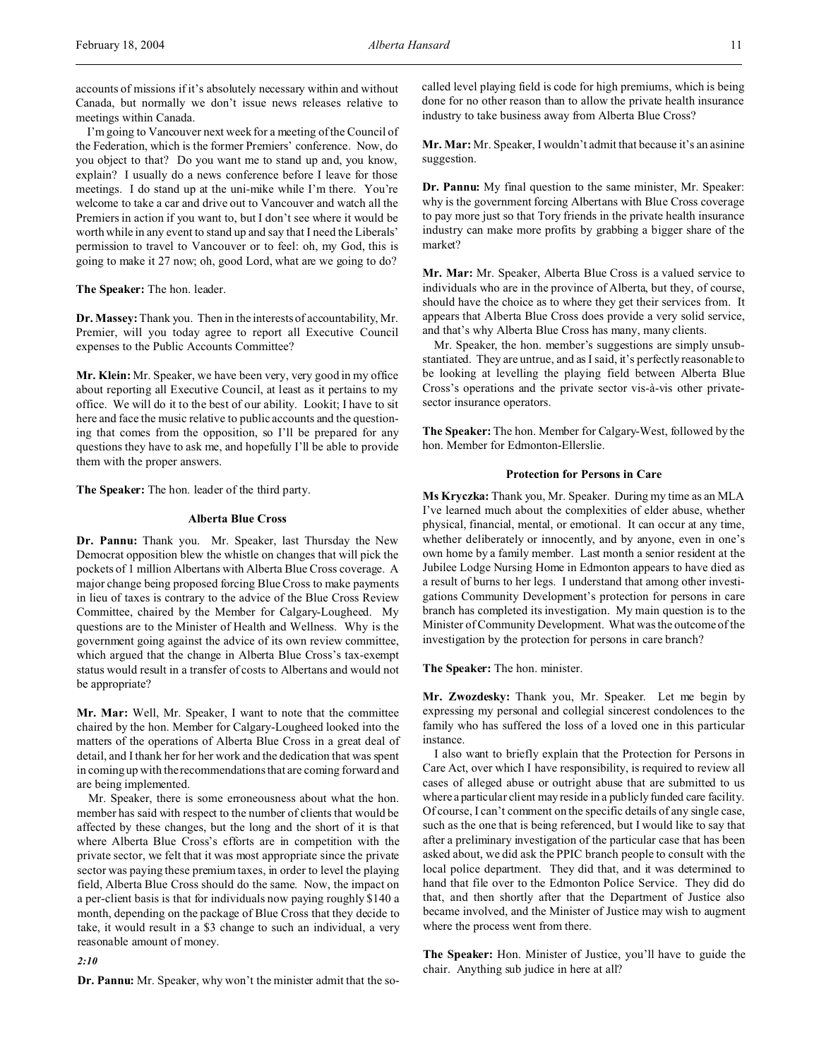accounts of missions if it's absolutely necessary within and without Canada, but normally we don't issue news releases relative to meetings within Canada.

I'm going to Vancouver next week for a meeting of the Council of the Federation, which is the former Premiers' conference. Now, do you object to that? Do you want me to stand up and, you know, explain? I usually do a news conference before I leave for those meetings. I do stand up at the uni-mike while I'm there. You're welcome to take a car and drive out to Vancouver and watch all the Premiers in action if you want to, but I don't see where it would be worth while in any event to stand up and say that I need the Liberals' permission to travel to Vancouver or to feel: oh, my God, this is going to make it 27 now; oh, good Lord, what are we going to do?

**The Speaker:** The hon. leader.

**Dr. Massey:** Thank you. Then in the interests of accountability, Mr. Premier, will you today agree to report all Executive Council expenses to the Public Accounts Committee?

**Mr. Klein:** Mr. Speaker, we have been very, very good in my office about reporting all Executive Council, at least as it pertains to my office. We will do it to the best of our ability. Lookit; I have to sit here and face the music relative to public accounts and the questioning that comes from the opposition, so I'll be prepared for any questions they have to ask me, and hopefully I'll be able to provide them with the proper answers.

**The Speaker:** The hon. leader of the third party.

### **Alberta Blue Cross**

**Dr. Pannu:** Thank you. Mr. Speaker, last Thursday the New Democrat opposition blew the whistle on changes that will pick the pockets of 1 million Albertans with Alberta Blue Cross coverage. A major change being proposed forcing Blue Cross to make payments in lieu of taxes is contrary to the advice of the Blue Cross Review Committee, chaired by the Member for Calgary-Lougheed. My questions are to the Minister of Health and Wellness. Why is the government going against the advice of its own review committee, which argued that the change in Alberta Blue Cross's tax-exempt status would result in a transfer of costs to Albertans and would not be appropriate?

**Mr. Mar:** Well, Mr. Speaker, I want to note that the committee chaired by the hon. Member for Calgary-Lougheed looked into the matters of the operations of Alberta Blue Cross in a great deal of detail, and I thank her for her work and the dedication that was spent in coming up with the recommendations that are coming forward and are being implemented.

Mr. Speaker, there is some erroneousness about what the hon. member has said with respect to the number of clients that would be affected by these changes, but the long and the short of it is that where Alberta Blue Cross's efforts are in competition with the private sector, we felt that it was most appropriate since the private sector was paying these premium taxes, in order to level the playing field, Alberta Blue Cross should do the same. Now, the impact on a per-client basis is that for individuals now paying roughly \$140 a month, depending on the package of Blue Cross that they decide to take, it would result in a \$3 change to such an individual, a very reasonable amount of money.

*2:10*

**Dr. Pannu:** Mr. Speaker, why won't the minister admit that the so-

called level playing field is code for high premiums, which is being done for no other reason than to allow the private health insurance industry to take business away from Alberta Blue Cross?

**Mr. Mar:** Mr. Speaker, I wouldn't admit that because it's an asinine suggestion.

**Dr. Pannu:** My final question to the same minister, Mr. Speaker: why is the government forcing Albertans with Blue Cross coverage to pay more just so that Tory friends in the private health insurance industry can make more profits by grabbing a bigger share of the market?

**Mr. Mar:** Mr. Speaker, Alberta Blue Cross is a valued service to individuals who are in the province of Alberta, but they, of course, should have the choice as to where they get their services from. It appears that Alberta Blue Cross does provide a very solid service, and that's why Alberta Blue Cross has many, many clients.

Mr. Speaker, the hon. member's suggestions are simply unsubstantiated. They are untrue, and as I said, it's perfectly reasonable to be looking at levelling the playing field between Alberta Blue Cross's operations and the private sector vis-à-vis other privatesector insurance operators.

**The Speaker:** The hon. Member for Calgary-West, followed by the hon. Member for Edmonton-Ellerslie.

### **Protection for Persons in Care**

**Ms Kryczka:** Thank you, Mr. Speaker. During my time as an MLA I've learned much about the complexities of elder abuse, whether physical, financial, mental, or emotional. It can occur at any time, whether deliberately or innocently, and by anyone, even in one's own home by a family member. Last month a senior resident at the Jubilee Lodge Nursing Home in Edmonton appears to have died as a result of burns to her legs. I understand that among other investigations Community Development's protection for persons in care branch has completed its investigation. My main question is to the Minister of Community Development. What was the outcome of the investigation by the protection for persons in care branch?

**The Speaker:** The hon. minister.

**Mr. Zwozdesky:** Thank you, Mr. Speaker. Let me begin by expressing my personal and collegial sincerest condolences to the family who has suffered the loss of a loved one in this particular instance.

I also want to briefly explain that the Protection for Persons in Care Act, over which I have responsibility, is required to review all cases of alleged abuse or outright abuse that are submitted to us where a particular client may reside in a publicly funded care facility. Of course, I can't comment on the specific details of any single case, such as the one that is being referenced, but I would like to say that after a preliminary investigation of the particular case that has been asked about, we did ask the PPIC branch people to consult with the local police department. They did that, and it was determined to hand that file over to the Edmonton Police Service. They did do that, and then shortly after that the Department of Justice also became involved, and the Minister of Justice may wish to augment where the process went from there.

**The Speaker:** Hon. Minister of Justice, you'll have to guide the chair. Anything sub judice in here at all?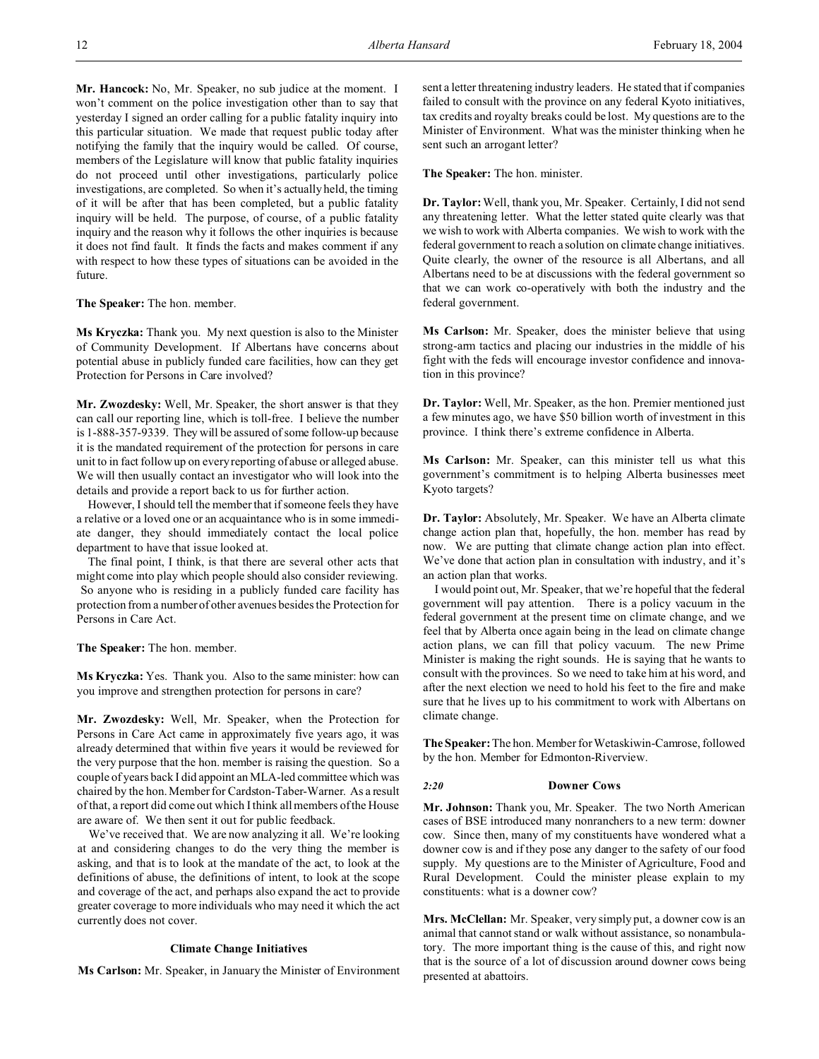**Mr. Hancock:** No, Mr. Speaker, no sub judice at the moment. I won't comment on the police investigation other than to say that yesterday I signed an order calling for a public fatality inquiry into this particular situation. We made that request public today after notifying the family that the inquiry would be called. Of course, members of the Legislature will know that public fatality inquiries do not proceed until other investigations, particularly police investigations, are completed. So when it's actually held, the timing of it will be after that has been completed, but a public fatality inquiry will be held. The purpose, of course, of a public fatality inquiry and the reason why it follows the other inquiries is because it does not find fault. It finds the facts and makes comment if any with respect to how these types of situations can be avoided in the future.

**The Speaker:** The hon. member.

**Ms Kryczka:** Thank you. My next question is also to the Minister of Community Development. If Albertans have concerns about potential abuse in publicly funded care facilities, how can they get Protection for Persons in Care involved?

**Mr. Zwozdesky:** Well, Mr. Speaker, the short answer is that they can call our reporting line, which is toll-free. I believe the number is 1-888-357-9339. They will be assured of some follow-up because it is the mandated requirement of the protection for persons in care unit to in fact follow up on every reporting of abuse or alleged abuse. We will then usually contact an investigator who will look into the details and provide a report back to us for further action.

However, I should tell the member that if someone feels they have a relative or a loved one or an acquaintance who is in some immediate danger, they should immediately contact the local police department to have that issue looked at.

The final point, I think, is that there are several other acts that might come into play which people should also consider reviewing. So anyone who is residing in a publicly funded care facility has protection from a number of other avenues besides the Protection for Persons in Care Act.

**The Speaker:** The hon. member.

**Ms Kryczka:** Yes. Thank you. Also to the same minister: how can you improve and strengthen protection for persons in care?

**Mr. Zwozdesky:** Well, Mr. Speaker, when the Protection for Persons in Care Act came in approximately five years ago, it was already determined that within five years it would be reviewed for the very purpose that the hon. member is raising the question. So a couple of years back I did appoint an MLA-led committee which was chaired by the hon. Member for Cardston-Taber-Warner. As a result of that, a report did come out which I think all members of the House are aware of. We then sent it out for public feedback.

We've received that. We are now analyzing it all. We're looking at and considering changes to do the very thing the member is asking, and that is to look at the mandate of the act, to look at the definitions of abuse, the definitions of intent, to look at the scope and coverage of the act, and perhaps also expand the act to provide greater coverage to more individuals who may need it which the act currently does not cover.

### **Climate Change Initiatives**

**Ms Carlson:** Mr. Speaker, in January the Minister of Environment

sent a letter threatening industry leaders. He stated that if companies failed to consult with the province on any federal Kyoto initiatives, tax credits and royalty breaks could be lost. My questions are to the Minister of Environment. What was the minister thinking when he sent such an arrogant letter?

**The Speaker:** The hon. minister.

**Dr. Taylor:**Well, thank you, Mr. Speaker. Certainly, I did not send any threatening letter. What the letter stated quite clearly was that we wish to work with Alberta companies. We wish to work with the federal government to reach a solution on climate change initiatives. Quite clearly, the owner of the resource is all Albertans, and all Albertans need to be at discussions with the federal government so that we can work co-operatively with both the industry and the federal government.

**Ms Carlson:** Mr. Speaker, does the minister believe that using strong-arm tactics and placing our industries in the middle of his fight with the feds will encourage investor confidence and innovation in this province?

**Dr. Taylor:** Well, Mr. Speaker, as the hon. Premier mentioned just a few minutes ago, we have \$50 billion worth of investment in this province. I think there's extreme confidence in Alberta.

**Ms Carlson:** Mr. Speaker, can this minister tell us what this government's commitment is to helping Alberta businesses meet Kyoto targets?

**Dr. Taylor:** Absolutely, Mr. Speaker. We have an Alberta climate change action plan that, hopefully, the hon. member has read by now. We are putting that climate change action plan into effect. We've done that action plan in consultation with industry, and it's an action plan that works.

I would point out, Mr. Speaker, that we're hopeful that the federal government will pay attention. There is a policy vacuum in the federal government at the present time on climate change, and we feel that by Alberta once again being in the lead on climate change action plans, we can fill that policy vacuum. The new Prime Minister is making the right sounds. He is saying that he wants to consult with the provinces. So we need to take him at his word, and after the next election we need to hold his feet to the fire and make sure that he lives up to his commitment to work with Albertans on climate change.

**The Speaker:** The hon. Member for Wetaskiwin-Camrose, followed by the hon. Member for Edmonton-Riverview.

### *2:20* **Downer Cows**

**Mr. Johnson:** Thank you, Mr. Speaker. The two North American cases of BSE introduced many nonranchers to a new term: downer cow. Since then, many of my constituents have wondered what a downer cow is and if they pose any danger to the safety of our food supply. My questions are to the Minister of Agriculture, Food and Rural Development. Could the minister please explain to my constituents: what is a downer cow?

**Mrs. McClellan:** Mr. Speaker, very simply put, a downer cow is an animal that cannot stand or walk without assistance, so nonambulatory. The more important thing is the cause of this, and right now that is the source of a lot of discussion around downer cows being presented at abattoirs.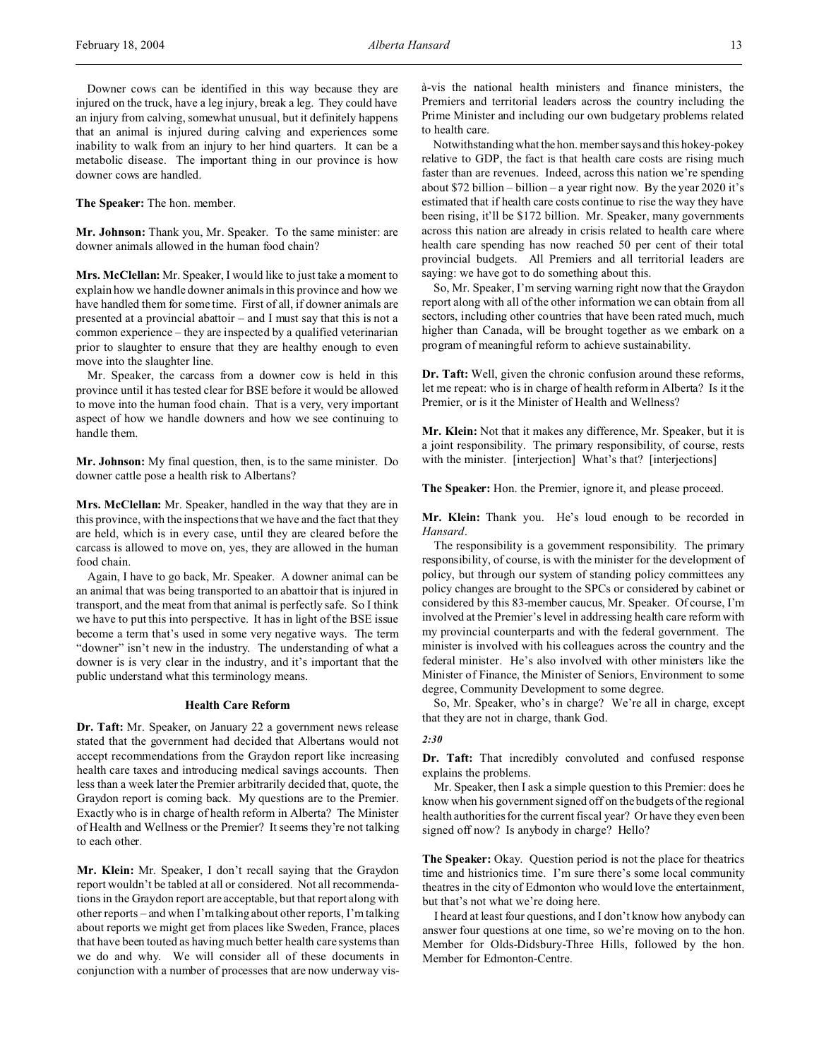Downer cows can be identified in this way because they are injured on the truck, have a leg injury, break a leg. They could have an injury from calving, somewhat unusual, but it definitely happens that an animal is injured during calving and experiences some inability to walk from an injury to her hind quarters. It can be a metabolic disease. The important thing in our province is how downer cows are handled.

**The Speaker:** The hon. member.

**Mr. Johnson:** Thank you, Mr. Speaker. To the same minister: are downer animals allowed in the human food chain?

**Mrs. McClellan:** Mr. Speaker, I would like to just take a moment to explain how we handle downer animals in this province and how we have handled them for some time. First of all, if downer animals are presented at a provincial abattoir – and I must say that this is not a common experience – they are inspected by a qualified veterinarian prior to slaughter to ensure that they are healthy enough to even move into the slaughter line.

Mr. Speaker, the carcass from a downer cow is held in this province until it has tested clear for BSE before it would be allowed to move into the human food chain. That is a very, very important aspect of how we handle downers and how we see continuing to handle them.

**Mr. Johnson:** My final question, then, is to the same minister. Do downer cattle pose a health risk to Albertans?

**Mrs. McClellan:** Mr. Speaker, handled in the way that they are in this province, with the inspections that we have and the fact that they are held, which is in every case, until they are cleared before the carcass is allowed to move on, yes, they are allowed in the human food chain.

Again, I have to go back, Mr. Speaker. A downer animal can be an animal that was being transported to an abattoir that is injured in transport, and the meat from that animal is perfectly safe. So I think we have to put this into perspective. It has in light of the BSE issue become a term that's used in some very negative ways. The term "downer" isn't new in the industry. The understanding of what a downer is is very clear in the industry, and it's important that the public understand what this terminology means.

### **Health Care Reform**

**Dr. Taft:** Mr. Speaker, on January 22 a government news release stated that the government had decided that Albertans would not accept recommendations from the Graydon report like increasing health care taxes and introducing medical savings accounts. Then less than a week later the Premier arbitrarily decided that, quote, the Graydon report is coming back. My questions are to the Premier. Exactly who is in charge of health reform in Alberta? The Minister of Health and Wellness or the Premier? It seems they're not talking to each other.

**Mr. Klein:** Mr. Speaker, I don't recall saying that the Graydon report wouldn't be tabled at all or considered. Not all recommendations in the Graydon report are acceptable, but that report along with other reports – and when I'm talking about other reports, I'm talking about reports we might get from places like Sweden, France, places that have been touted as having much better health care systems than we do and why. We will consider all of these documents in conjunction with a number of processes that are now underway visà-vis the national health ministers and finance ministers, the Premiers and territorial leaders across the country including the Prime Minister and including our own budgetary problems related to health care.

Notwithstanding what the hon. member says and this hokey-pokey relative to GDP, the fact is that health care costs are rising much faster than are revenues. Indeed, across this nation we're spending about \$72 billion – billion – a year right now. By the year 2020 it's estimated that if health care costs continue to rise the way they have been rising, it'll be \$172 billion. Mr. Speaker, many governments across this nation are already in crisis related to health care where health care spending has now reached 50 per cent of their total provincial budgets. All Premiers and all territorial leaders are saying: we have got to do something about this.

So, Mr. Speaker, I'm serving warning right now that the Graydon report along with all of the other information we can obtain from all sectors, including other countries that have been rated much, much higher than Canada, will be brought together as we embark on a program of meaningful reform to achieve sustainability.

**Dr. Taft:** Well, given the chronic confusion around these reforms, let me repeat: who is in charge of health reform in Alberta? Is it the Premier, or is it the Minister of Health and Wellness?

**Mr. Klein:** Not that it makes any difference, Mr. Speaker, but it is a joint responsibility. The primary responsibility, of course, rests with the minister. [interjection] What's that? [interjections]

**The Speaker:** Hon. the Premier, ignore it, and please proceed.

**Mr. Klein:** Thank you. He's loud enough to be recorded in *Hansard*.

The responsibility is a government responsibility. The primary responsibility, of course, is with the minister for the development of policy, but through our system of standing policy committees any policy changes are brought to the SPCs or considered by cabinet or considered by this 83-member caucus, Mr. Speaker. Of course, I'm involved at the Premier's level in addressing health care reform with my provincial counterparts and with the federal government. The minister is involved with his colleagues across the country and the federal minister. He's also involved with other ministers like the Minister of Finance, the Minister of Seniors, Environment to some degree, Community Development to some degree.

So, Mr. Speaker, who's in charge? We're all in charge, except that they are not in charge, thank God.

### *2:30*

**Dr. Taft:** That incredibly convoluted and confused response explains the problems.

Mr. Speaker, then I ask a simple question to this Premier: does he know when his government signed off on the budgets of the regional health authorities for the current fiscal year? Or have they even been signed off now? Is anybody in charge? Hello?

The Speaker: Okay. Question period is not the place for theatrics time and histrionics time. I'm sure there's some local community theatres in the city of Edmonton who would love the entertainment, but that's not what we're doing here.

I heard at least four questions, and I don't know how anybody can answer four questions at one time, so we're moving on to the hon. Member for Olds-Didsbury-Three Hills, followed by the hon. Member for Edmonton-Centre.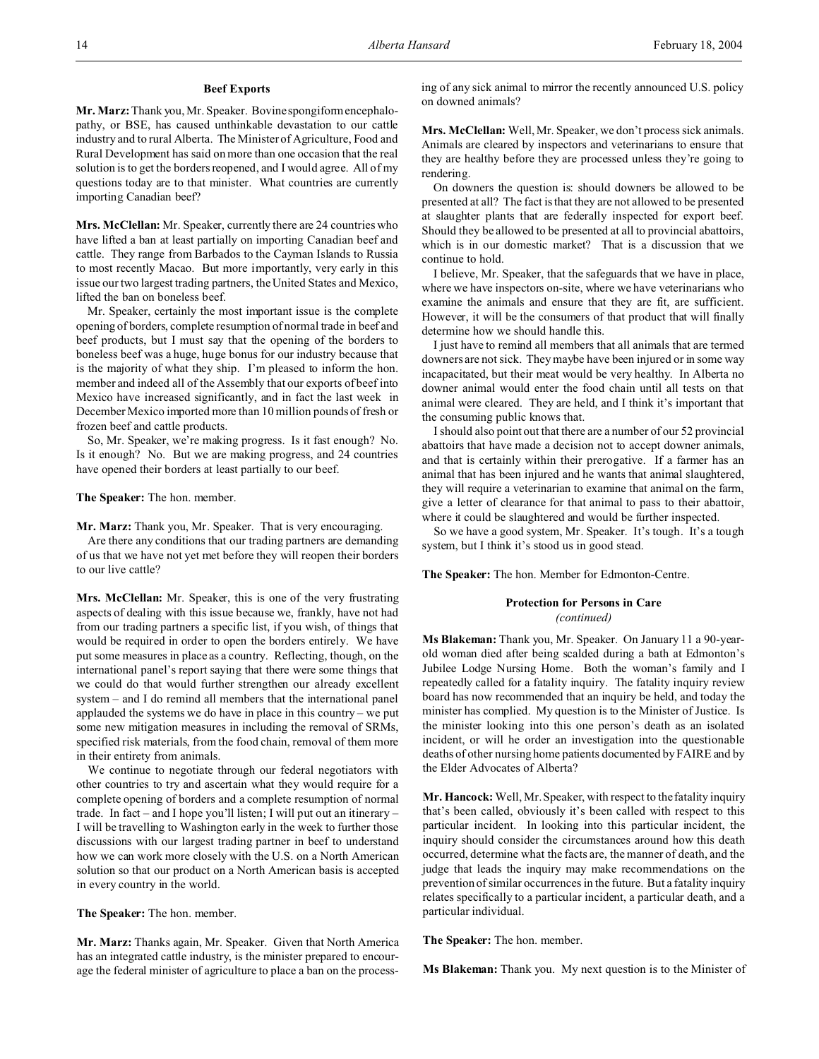### **Beef Exports**

**Mr. Marz:** Thank you, Mr. Speaker. Bovine spongiform encephalopathy, or BSE, has caused unthinkable devastation to our cattle industry and to rural Alberta. The Minister of Agriculture, Food and Rural Development has said on more than one occasion that the real solution is to get the borders reopened, and I would agree. All of my questions today are to that minister. What countries are currently importing Canadian beef?

**Mrs. McClellan:** Mr. Speaker, currently there are 24 countries who have lifted a ban at least partially on importing Canadian beef and cattle. They range from Barbados to the Cayman Islands to Russia to most recently Macao. But more importantly, very early in this issue our two largest trading partners, the United States and Mexico, lifted the ban on boneless beef.

Mr. Speaker, certainly the most important issue is the complete opening of borders, complete resumption of normal trade in beef and beef products, but I must say that the opening of the borders to boneless beef was a huge, huge bonus for our industry because that is the majority of what they ship. I'm pleased to inform the hon. member and indeed all of the Assembly that our exports of beef into Mexico have increased significantly, and in fact the last week in December Mexico imported more than 10 million pounds of fresh or frozen beef and cattle products.

So, Mr. Speaker, we're making progress. Is it fast enough? No. Is it enough? No. But we are making progress, and 24 countries have opened their borders at least partially to our beef.

### **The Speaker:** The hon. member.

**Mr. Marz:** Thank you, Mr. Speaker. That is very encouraging.

Are there any conditions that our trading partners are demanding of us that we have not yet met before they will reopen their borders to our live cattle?

**Mrs. McClellan:** Mr. Speaker, this is one of the very frustrating aspects of dealing with this issue because we, frankly, have not had from our trading partners a specific list, if you wish, of things that would be required in order to open the borders entirely. We have put some measures in place as a country. Reflecting, though, on the international panel's report saying that there were some things that we could do that would further strengthen our already excellent system – and I do remind all members that the international panel applauded the systems we do have in place in this country – we put some new mitigation measures in including the removal of SRMs, specified risk materials, from the food chain, removal of them more in their entirety from animals.

We continue to negotiate through our federal negotiators with other countries to try and ascertain what they would require for a complete opening of borders and a complete resumption of normal trade. In fact – and I hope you'll listen; I will put out an itinerary – I will be travelling to Washington early in the week to further those discussions with our largest trading partner in beef to understand how we can work more closely with the U.S. on a North American solution so that our product on a North American basis is accepted in every country in the world.

**The Speaker:** The hon. member.

**Mr. Marz:** Thanks again, Mr. Speaker. Given that North America has an integrated cattle industry, is the minister prepared to encourage the federal minister of agriculture to place a ban on the processing of any sick animal to mirror the recently announced U.S. policy on downed animals?

**Mrs. McClellan:** Well, Mr. Speaker, we don't process sick animals. Animals are cleared by inspectors and veterinarians to ensure that they are healthy before they are processed unless they're going to rendering.

On downers the question is: should downers be allowed to be presented at all? The fact is that they are not allowed to be presented at slaughter plants that are federally inspected for export beef. Should they be allowed to be presented at all to provincial abattoirs, which is in our domestic market? That is a discussion that we continue to hold.

I believe, Mr. Speaker, that the safeguards that we have in place, where we have inspectors on-site, where we have veterinarians who examine the animals and ensure that they are fit, are sufficient. However, it will be the consumers of that product that will finally determine how we should handle this.

I just have to remind all members that all animals that are termed downers are not sick. They maybe have been injured or in some way incapacitated, but their meat would be very healthy. In Alberta no downer animal would enter the food chain until all tests on that animal were cleared. They are held, and I think it's important that the consuming public knows that.

I should also point out that there are a number of our 52 provincial abattoirs that have made a decision not to accept downer animals, and that is certainly within their prerogative. If a farmer has an animal that has been injured and he wants that animal slaughtered, they will require a veterinarian to examine that animal on the farm, give a letter of clearance for that animal to pass to their abattoir, where it could be slaughtered and would be further inspected.

So we have a good system, Mr. Speaker. It's tough. It's a tough system, but I think it's stood us in good stead.

**The Speaker:** The hon. Member for Edmonton-Centre.

### **Protection for Persons in Care**

*(continued)*

**Ms Blakeman:** Thank you, Mr. Speaker. On January 11 a 90-yearold woman died after being scalded during a bath at Edmonton's Jubilee Lodge Nursing Home. Both the woman's family and I repeatedly called for a fatality inquiry. The fatality inquiry review board has now recommended that an inquiry be held, and today the minister has complied. My question is to the Minister of Justice. Is the minister looking into this one person's death as an isolated incident, or will he order an investigation into the questionable deaths of other nursing home patients documented by FAIRE and by the Elder Advocates of Alberta?

**Mr. Hancock:** Well, Mr. Speaker, with respect to the fatality inquiry that's been called, obviously it's been called with respect to this particular incident. In looking into this particular incident, the inquiry should consider the circumstances around how this death occurred, determine what the facts are, the manner of death, and the judge that leads the inquiry may make recommendations on the prevention of similar occurrences in the future. But a fatality inquiry relates specifically to a particular incident, a particular death, and a particular individual.

**The Speaker:** The hon. member.

**Ms Blakeman:** Thank you. My next question is to the Minister of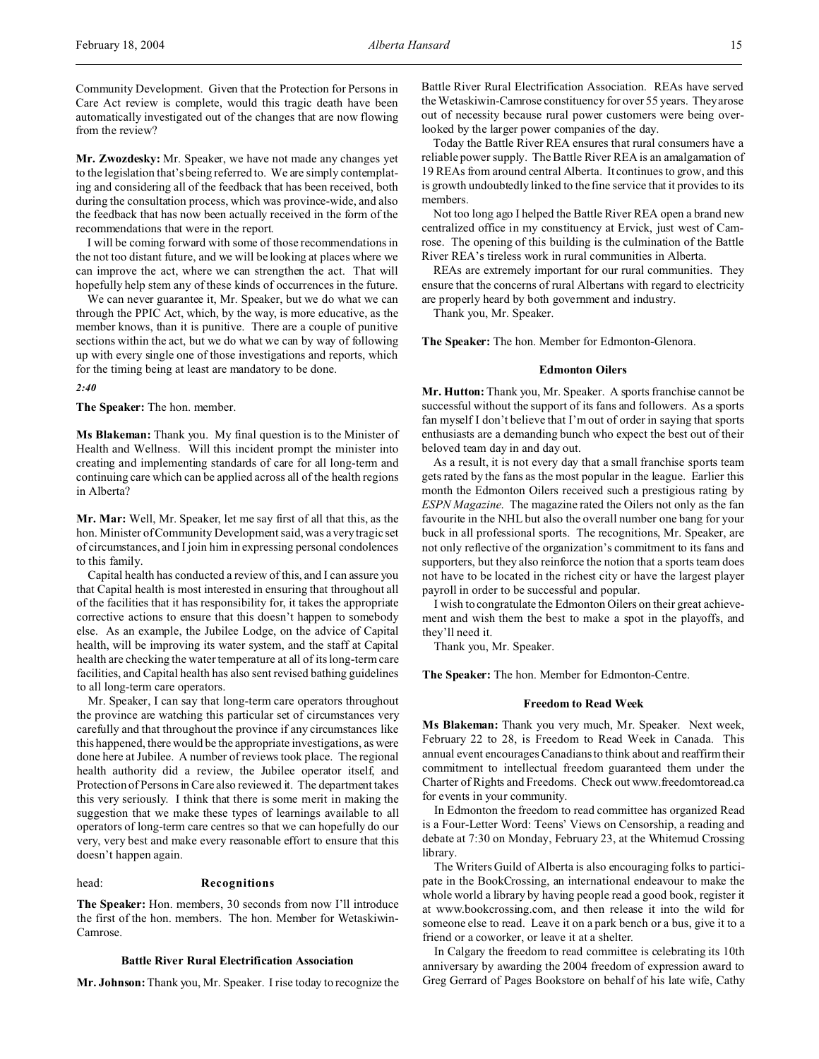Community Development. Given that the Protection for Persons in Care Act review is complete, would this tragic death have been automatically investigated out of the changes that are now flowing from the review?

**Mr. Zwozdesky:** Mr. Speaker, we have not made any changes yet to the legislation that's being referred to. We are simply contemplating and considering all of the feedback that has been received, both during the consultation process, which was province-wide, and also the feedback that has now been actually received in the form of the recommendations that were in the report.

I will be coming forward with some of those recommendations in the not too distant future, and we will be looking at places where we can improve the act, where we can strengthen the act. That will hopefully help stem any of these kinds of occurrences in the future.

We can never guarantee it, Mr. Speaker, but we do what we can through the PPIC Act, which, by the way, is more educative, as the member knows, than it is punitive. There are a couple of punitive sections within the act, but we do what we can by way of following up with every single one of those investigations and reports, which for the timing being at least are mandatory to be done.

*2:40*

**The Speaker:** The hon. member.

**Ms Blakeman:** Thank you. My final question is to the Minister of Health and Wellness. Will this incident prompt the minister into creating and implementing standards of care for all long-term and continuing care which can be applied across all of the health regions in Alberta?

**Mr. Mar:** Well, Mr. Speaker, let me say first of all that this, as the hon. Minister of Community Development said, was a very tragic set of circumstances, and I join him in expressing personal condolences to this family.

Capital health has conducted a review of this, and I can assure you that Capital health is most interested in ensuring that throughout all of the facilities that it has responsibility for, it takes the appropriate corrective actions to ensure that this doesn't happen to somebody else. As an example, the Jubilee Lodge, on the advice of Capital health, will be improving its water system, and the staff at Capital health are checking the water temperature at all of its long-term care facilities, and Capital health has also sent revised bathing guidelines to all long-term care operators.

Mr. Speaker, I can say that long-term care operators throughout the province are watching this particular set of circumstances very carefully and that throughout the province if any circumstances like this happened, there would be the appropriate investigations, as were done here at Jubilee. A number of reviews took place. The regional health authority did a review, the Jubilee operator itself, and Protection of Persons in Care also reviewed it. The department takes this very seriously. I think that there is some merit in making the suggestion that we make these types of learnings available to all operators of long-term care centres so that we can hopefully do our very, very best and make every reasonable effort to ensure that this doesn't happen again.

### head: **Recognitions**

**The Speaker:** Hon. members, 30 seconds from now I'll introduce the first of the hon. members. The hon. Member for Wetaskiwin-Camrose.

### **Battle River Rural Electrification Association**

**Mr. Johnson:** Thank you, Mr. Speaker. I rise today to recognize the

Battle River Rural Electrification Association. REAs have served the Wetaskiwin-Camrose constituency for over 55 years. They arose out of necessity because rural power customers were being overlooked by the larger power companies of the day.

Today the Battle River REA ensures that rural consumers have a reliable power supply. The Battle River REA is an amalgamation of 19 REAs from around central Alberta. It continues to grow, and this is growth undoubtedly linked to the fine service that it provides to its members.

Not too long ago I helped the Battle River REA open a brand new centralized office in my constituency at Ervick, just west of Camrose. The opening of this building is the culmination of the Battle River REA's tireless work in rural communities in Alberta.

REAs are extremely important for our rural communities. They ensure that the concerns of rural Albertans with regard to electricity are properly heard by both government and industry.

Thank you, Mr. Speaker.

**The Speaker:** The hon. Member for Edmonton-Glenora.

### **Edmonton Oilers**

**Mr. Hutton:** Thank you, Mr. Speaker. A sports franchise cannot be successful without the support of its fans and followers. As a sports fan myself I don't believe that I'm out of order in saying that sports enthusiasts are a demanding bunch who expect the best out of their beloved team day in and day out.

As a result, it is not every day that a small franchise sports team gets rated by the fans as the most popular in the league. Earlier this month the Edmonton Oilers received such a prestigious rating by *ESPN Magazine*. The magazine rated the Oilers not only as the fan favourite in the NHL but also the overall number one bang for your buck in all professional sports. The recognitions, Mr. Speaker, are not only reflective of the organization's commitment to its fans and supporters, but they also reinforce the notion that a sports team does not have to be located in the richest city or have the largest player payroll in order to be successful and popular.

I wish to congratulate the Edmonton Oilers on their great achievement and wish them the best to make a spot in the playoffs, and they'll need it.

Thank you, Mr. Speaker.

**The Speaker:** The hon. Member for Edmonton-Centre.

### **Freedom to Read Week**

**Ms Blakeman:** Thank you very much, Mr. Speaker. Next week, February 22 to 28, is Freedom to Read Week in Canada. This annual event encourages Canadians to think about and reaffirm their commitment to intellectual freedom guaranteed them under the Charter of Rights and Freedoms. Check out www.freedomtoread.ca for events in your community.

In Edmonton the freedom to read committee has organized Read is a Four-Letter Word: Teens' Views on Censorship, a reading and debate at 7:30 on Monday, February 23, at the Whitemud Crossing library.

The Writers Guild of Alberta is also encouraging folks to participate in the BookCrossing, an international endeavour to make the whole world a library by having people read a good book, register it at www.bookcrossing.com, and then release it into the wild for someone else to read. Leave it on a park bench or a bus, give it to a friend or a coworker, or leave it at a shelter.

In Calgary the freedom to read committee is celebrating its 10th anniversary by awarding the 2004 freedom of expression award to Greg Gerrard of Pages Bookstore on behalf of his late wife, Cathy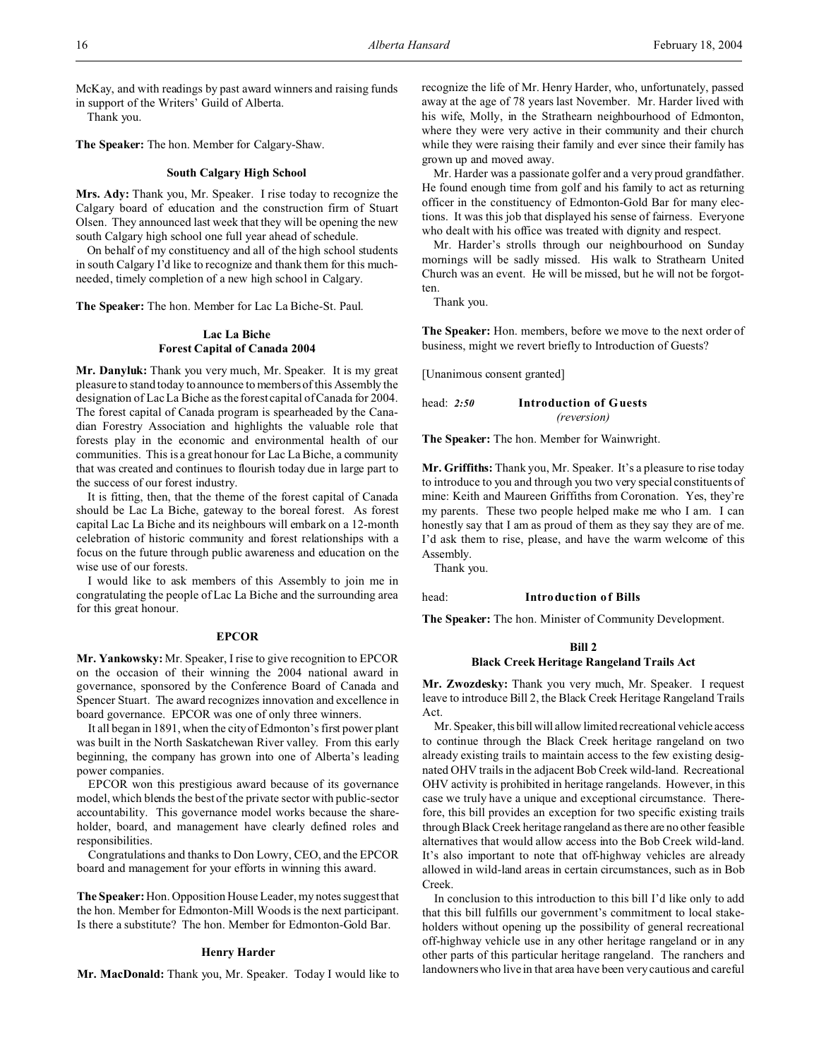McKay, and with readings by past award winners and raising funds in support of the Writers' Guild of Alberta.

Thank you.

**The Speaker:** The hon. Member for Calgary-Shaw.

### **South Calgary High School**

**Mrs. Ady:** Thank you, Mr. Speaker. I rise today to recognize the Calgary board of education and the construction firm of Stuart Olsen. They announced last week that they will be opening the new south Calgary high school one full year ahead of schedule.

On behalf of my constituency and all of the high school students in south Calgary I'd like to recognize and thank them for this muchneeded, timely completion of a new high school in Calgary.

**The Speaker:** The hon. Member for Lac La Biche-St. Paul.

### **Lac La Biche Forest Capital of Canada 2004**

**Mr. Danyluk:** Thank you very much, Mr. Speaker. It is my great pleasure to stand today to announce to members of this Assembly the designation of Lac La Biche as the forest capital of Canada for 2004. The forest capital of Canada program is spearheaded by the Canadian Forestry Association and highlights the valuable role that forests play in the economic and environmental health of our communities. This is a great honour for Lac La Biche, a community that was created and continues to flourish today due in large part to the success of our forest industry.

It is fitting, then, that the theme of the forest capital of Canada should be Lac La Biche, gateway to the boreal forest. As forest capital Lac La Biche and its neighbours will embark on a 12-month celebration of historic community and forest relationships with a focus on the future through public awareness and education on the wise use of our forests.

I would like to ask members of this Assembly to join me in congratulating the people of Lac La Biche and the surrounding area for this great honour.

#### **EPCOR**

**Mr. Yankowsky:** Mr. Speaker, I rise to give recognition to EPCOR on the occasion of their winning the 2004 national award in governance, sponsored by the Conference Board of Canada and Spencer Stuart. The award recognizes innovation and excellence in board governance. EPCOR was one of only three winners.

It all began in 1891, when the city of Edmonton's first power plant was built in the North Saskatchewan River valley. From this early beginning, the company has grown into one of Alberta's leading power companies.

EPCOR won this prestigious award because of its governance model, which blends the best of the private sector with public-sector accountability. This governance model works because the shareholder, board, and management have clearly defined roles and responsibilities.

Congratulations and thanks to Don Lowry, CEO, and the EPCOR board and management for your efforts in winning this award.

**The Speaker:** Hon. Opposition House Leader, my notes suggest that the hon. Member for Edmonton-Mill Woods is the next participant. Is there a substitute? The hon. Member for Edmonton-Gold Bar.

### **Henry Harder**

**Mr. MacDonald:** Thank you, Mr. Speaker. Today I would like to

recognize the life of Mr. Henry Harder, who, unfortunately, passed away at the age of 78 years last November. Mr. Harder lived with his wife, Molly, in the Strathearn neighbourhood of Edmonton, where they were very active in their community and their church while they were raising their family and ever since their family has grown up and moved away.

Mr. Harder was a passionate golfer and a very proud grandfather. He found enough time from golf and his family to act as returning officer in the constituency of Edmonton-Gold Bar for many elections. It was this job that displayed his sense of fairness. Everyone who dealt with his office was treated with dignity and respect.

Mr. Harder's strolls through our neighbourhood on Sunday mornings will be sadly missed. His walk to Strathearn United Church was an event. He will be missed, but he will not be forgotten.

Thank you.

**The Speaker:** Hon. members, before we move to the next order of business, might we revert briefly to Introduction of Guests?

[Unanimous consent granted]

head: *2:50* **Introduction of Guests** *(reversion)*

**The Speaker:** The hon. Member for Wainwright.

**Mr. Griffiths:** Thank you, Mr. Speaker. It's a pleasure to rise today to introduce to you and through you two very special constituents of mine: Keith and Maureen Griffiths from Coronation. Yes, they're my parents. These two people helped make me who I am. I can honestly say that I am as proud of them as they say they are of me. I'd ask them to rise, please, and have the warm welcome of this Assembly.

Thank you.

### head: **Introduction of Bills**

**The Speaker:** The hon. Minister of Community Development.

### **Bill 2 Black Creek Heritage Rangeland Trails Act**

**Mr. Zwozdesky:** Thank you very much, Mr. Speaker. I request leave to introduce Bill 2, the Black Creek Heritage Rangeland Trails Act.

Mr. Speaker, this bill will allow limited recreational vehicle access to continue through the Black Creek heritage rangeland on two already existing trails to maintain access to the few existing designated OHV trails in the adjacent Bob Creek wild-land. Recreational OHV activity is prohibited in heritage rangelands. However, in this case we truly have a unique and exceptional circumstance. Therefore, this bill provides an exception for two specific existing trails through Black Creek heritage rangeland as there are no other feasible alternatives that would allow access into the Bob Creek wild-land. It's also important to note that off-highway vehicles are already allowed in wild-land areas in certain circumstances, such as in Bob Creek.

In conclusion to this introduction to this bill I'd like only to add that this bill fulfills our government's commitment to local stakeholders without opening up the possibility of general recreational off-highway vehicle use in any other heritage rangeland or in any other parts of this particular heritage rangeland. The ranchers and landowners who live in that area have been very cautious and careful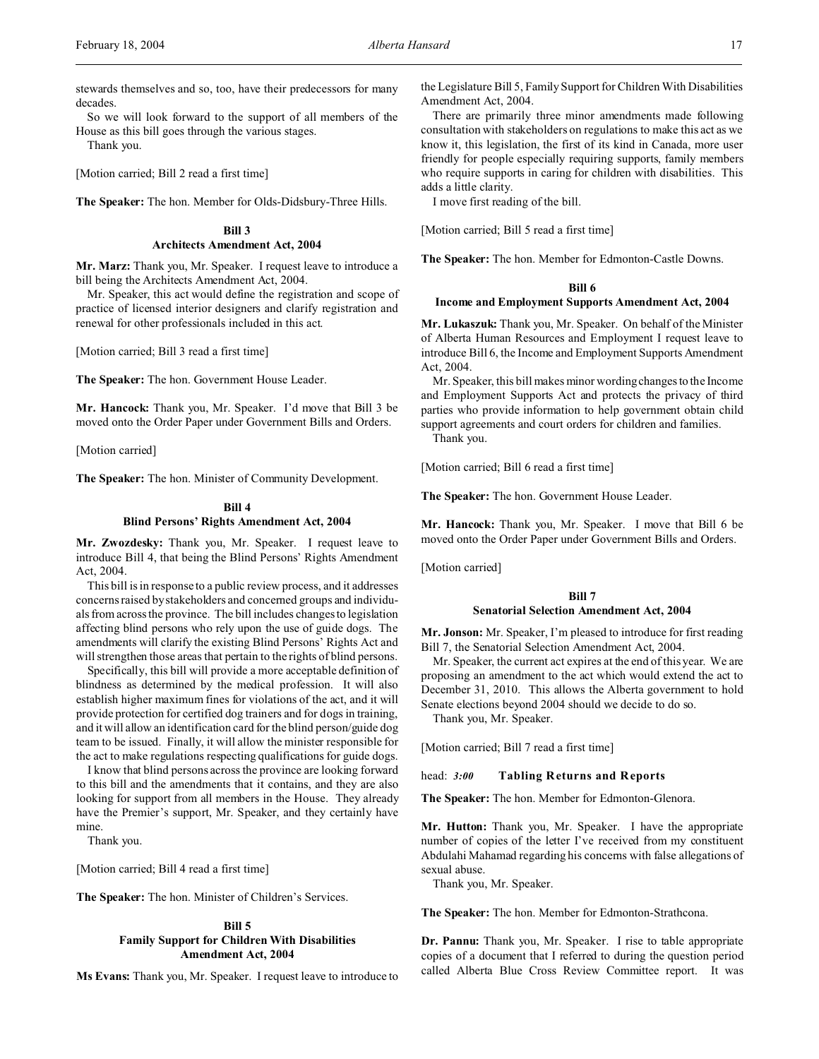stewards themselves and so, too, have their predecessors for many decades.

So we will look forward to the support of all members of the House as this bill goes through the various stages.

Thank you.

[Motion carried; Bill 2 read a first time]

**The Speaker:** The hon. Member for Olds-Didsbury-Three Hills.

## **Bill 3**

### **Architects Amendment Act, 2004**

**Mr. Marz:** Thank you, Mr. Speaker. I request leave to introduce a bill being the Architects Amendment Act, 2004.

Mr. Speaker, this act would define the registration and scope of practice of licensed interior designers and clarify registration and renewal for other professionals included in this act.

[Motion carried; Bill 3 read a first time]

**The Speaker:** The hon. Government House Leader.

**Mr. Hancock:** Thank you, Mr. Speaker. I'd move that Bill 3 be moved onto the Order Paper under Government Bills and Orders.

[Motion carried]

**The Speaker:** The hon. Minister of Community Development.

### **Bill 4 Blind Persons' Rights Amendment Act, 2004**

**Mr. Zwozdesky:** Thank you, Mr. Speaker. I request leave to introduce Bill 4, that being the Blind Persons' Rights Amendment Act, 2004.

This bill is in response to a public review process, and it addresses concerns raised by stakeholders and concerned groups and individuals from across the province. The bill includes changes to legislation affecting blind persons who rely upon the use of guide dogs. The amendments will clarify the existing Blind Persons' Rights Act and will strengthen those areas that pertain to the rights of blind persons.

Specifically, this bill will provide a more acceptable definition of blindness as determined by the medical profession. It will also establish higher maximum fines for violations of the act, and it will provide protection for certified dog trainers and for dogs in training, and it will allow an identification card for the blind person/guide dog team to be issued. Finally, it will allow the minister responsible for the act to make regulations respecting qualifications for guide dogs.

I know that blind persons across the province are looking forward to this bill and the amendments that it contains, and they are also looking for support from all members in the House. They already have the Premier's support, Mr. Speaker, and they certainly have mine.

Thank you.

[Motion carried; Bill 4 read a first time]

**The Speaker:** The hon. Minister of Children's Services.

### **Bill 5 Family Support for Children With Disabilities Amendment Act, 2004**

**Ms Evans:** Thank you, Mr. Speaker. I request leave to introduce to

the Legislature Bill 5, Family Support for Children With Disabilities Amendment Act, 2004.

There are primarily three minor amendments made following consultation with stakeholders on regulations to make this act as we know it, this legislation, the first of its kind in Canada, more user friendly for people especially requiring supports, family members who require supports in caring for children with disabilities. This adds a little clarity.

I move first reading of the bill.

[Motion carried; Bill 5 read a first time]

**The Speaker:** The hon. Member for Edmonton-Castle Downs.

### **Bill 6**

### **Income and Employment Supports Amendment Act, 2004**

**Mr. Lukaszuk:** Thank you, Mr. Speaker. On behalf of the Minister of Alberta Human Resources and Employment I request leave to introduce Bill 6, the Income and Employment Supports Amendment Act, 2004.

Mr. Speaker, this bill makes minor wording changes to the Income and Employment Supports Act and protects the privacy of third parties who provide information to help government obtain child support agreements and court orders for children and families.

Thank you.

[Motion carried; Bill 6 read a first time]

**The Speaker:** The hon. Government House Leader.

**Mr. Hancock:** Thank you, Mr. Speaker. I move that Bill 6 be moved onto the Order Paper under Government Bills and Orders.

[Motion carried]

### **Bill 7 Senatorial Selection Amendment Act, 2004**

**Mr. Jonson:** Mr. Speaker, I'm pleased to introduce for first reading Bill 7, the Senatorial Selection Amendment Act, 2004.

Mr. Speaker, the current act expires at the end of this year. We are proposing an amendment to the act which would extend the act to December 31, 2010. This allows the Alberta government to hold Senate elections beyond 2004 should we decide to do so.

Thank you, Mr. Speaker.

[Motion carried; Bill 7 read a first time]

### head: *3:00* **Tabling Returns and Reports**

**The Speaker:** The hon. Member for Edmonton-Glenora.

**Mr. Hutton:** Thank you, Mr. Speaker. I have the appropriate number of copies of the letter I've received from my constituent Abdulahi Mahamad regarding his concerns with false allegations of sexual abuse.

Thank you, Mr. Speaker.

**The Speaker:** The hon. Member for Edmonton-Strathcona.

**Dr. Pannu:** Thank you, Mr. Speaker. I rise to table appropriate copies of a document that I referred to during the question period called Alberta Blue Cross Review Committee report. It was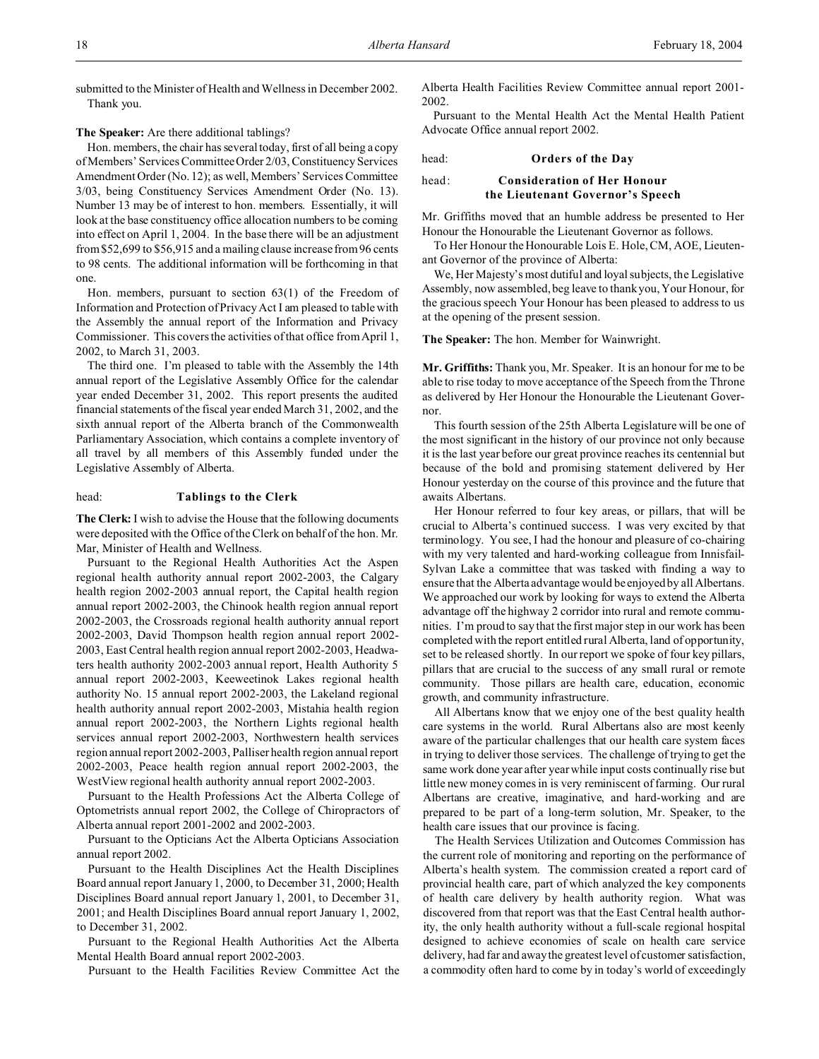submitted to the Minister of Health and Wellness in December 2002. Thank you.

**The Speaker:** Are there additional tablings?

Hon. members, the chair has several today, first of all being a copy of Members' Services Committee Order 2/03, Constituency Services Amendment Order (No. 12); as well, Members' Services Committee 3/03, being Constituency Services Amendment Order (No. 13). Number 13 may be of interest to hon. members. Essentially, it will look at the base constituency office allocation numbers to be coming into effect on April 1, 2004. In the base there will be an adjustment from \$52,699 to \$56,915 and a mailing clause increase from 96 cents to 98 cents. The additional information will be forthcoming in that one.

Hon. members, pursuant to section 63(1) of the Freedom of Information and Protection of Privacy Act I am pleased to table with the Assembly the annual report of the Information and Privacy Commissioner. This covers the activities of that office from April 1, 2002, to March 31, 2003.

The third one. I'm pleased to table with the Assembly the 14th annual report of the Legislative Assembly Office for the calendar year ended December 31, 2002. This report presents the audited financial statements of the fiscal year ended March 31, 2002, and the sixth annual report of the Alberta branch of the Commonwealth Parliamentary Association, which contains a complete inventory of all travel by all members of this Assembly funded under the Legislative Assembly of Alberta.

### head: **Tablings to the Clerk**

**The Clerk:** I wish to advise the House that the following documents were deposited with the Office of the Clerk on behalf of the hon. Mr. Mar, Minister of Health and Wellness.

Pursuant to the Regional Health Authorities Act the Aspen regional health authority annual report 2002-2003, the Calgary health region 2002-2003 annual report, the Capital health region annual report 2002-2003, the Chinook health region annual report 2002-2003, the Crossroads regional health authority annual report 2002-2003, David Thompson health region annual report 2002- 2003, East Central health region annual report 2002-2003, Headwaters health authority 2002-2003 annual report, Health Authority 5 annual report 2002-2003, Keeweetinok Lakes regional health authority No. 15 annual report 2002-2003, the Lakeland regional health authority annual report 2002-2003, Mistahia health region annual report 2002-2003, the Northern Lights regional health services annual report 2002-2003, Northwestern health services region annual report 2002-2003, Palliser health region annual report 2002-2003, Peace health region annual report 2002-2003, the WestView regional health authority annual report 2002-2003.

Pursuant to the Health Professions Act the Alberta College of Optometrists annual report 2002, the College of Chiropractors of Alberta annual report 2001-2002 and 2002-2003.

Pursuant to the Opticians Act the Alberta Opticians Association annual report 2002.

Pursuant to the Health Disciplines Act the Health Disciplines Board annual report January 1, 2000, to December 31, 2000; Health Disciplines Board annual report January 1, 2001, to December 31, 2001; and Health Disciplines Board annual report January 1, 2002, to December 31, 2002.

Pursuant to the Regional Health Authorities Act the Alberta Mental Health Board annual report 2002-2003.

Pursuant to the Health Facilities Review Committee Act the

Alberta Health Facilities Review Committee annual report 2001- 2002.

Pursuant to the Mental Health Act the Mental Health Patient Advocate Office annual report 2002.

### head: **Orders of the Day** head: **Consideration of Her Honour**

# **the Lieutenant Governor's Speech**

Mr. Griffiths moved that an humble address be presented to Her Honour the Honourable the Lieutenant Governor as follows.

To Her Honour the Honourable Lois E. Hole, CM, AOE, Lieutenant Governor of the province of Alberta:

We, Her Majesty's most dutiful and loyal subjects, the Legislative Assembly, now assembled, beg leave to thank you, Your Honour, for the gracious speech Your Honour has been pleased to address to us at the opening of the present session.

**The Speaker:** The hon. Member for Wainwright.

**Mr. Griffiths:** Thank you, Mr. Speaker. It is an honour for me to be able to rise today to move acceptance of the Speech from the Throne as delivered by Her Honour the Honourable the Lieutenant Governor.

This fourth session of the 25th Alberta Legislature will be one of the most significant in the history of our province not only because it is the last year before our great province reaches its centennial but because of the bold and promising statement delivered by Her Honour yesterday on the course of this province and the future that awaits Albertans.

Her Honour referred to four key areas, or pillars, that will be crucial to Alberta's continued success. I was very excited by that terminology. You see, I had the honour and pleasure of co-chairing with my very talented and hard-working colleague from Innisfail-Sylvan Lake a committee that was tasked with finding a way to ensure that the Alberta advantage would be enjoyed by all Albertans. We approached our work by looking for ways to extend the Alberta advantage off the highway 2 corridor into rural and remote communities. I'm proud to say that the first major step in our work has been completed with the report entitled rural Alberta, land of opportunity, set to be released shortly. In our report we spoke of four key pillars, pillars that are crucial to the success of any small rural or remote community. Those pillars are health care, education, economic growth, and community infrastructure.

All Albertans know that we enjoy one of the best quality health care systems in the world. Rural Albertans also are most keenly aware of the particular challenges that our health care system faces in trying to deliver those services. The challenge of trying to get the same work done year after year while input costs continually rise but little new money comes in is very reminiscent of farming. Our rural Albertans are creative, imaginative, and hard-working and are prepared to be part of a long-term solution, Mr. Speaker, to the health care issues that our province is facing.

The Health Services Utilization and Outcomes Commission has the current role of monitoring and reporting on the performance of Alberta's health system. The commission created a report card of provincial health care, part of which analyzed the key components of health care delivery by health authority region. What was discovered from that report was that the East Central health authority, the only health authority without a full-scale regional hospital designed to achieve economies of scale on health care service delivery, had far and away the greatest level of customer satisfaction, a commodity often hard to come by in today's world of exceedingly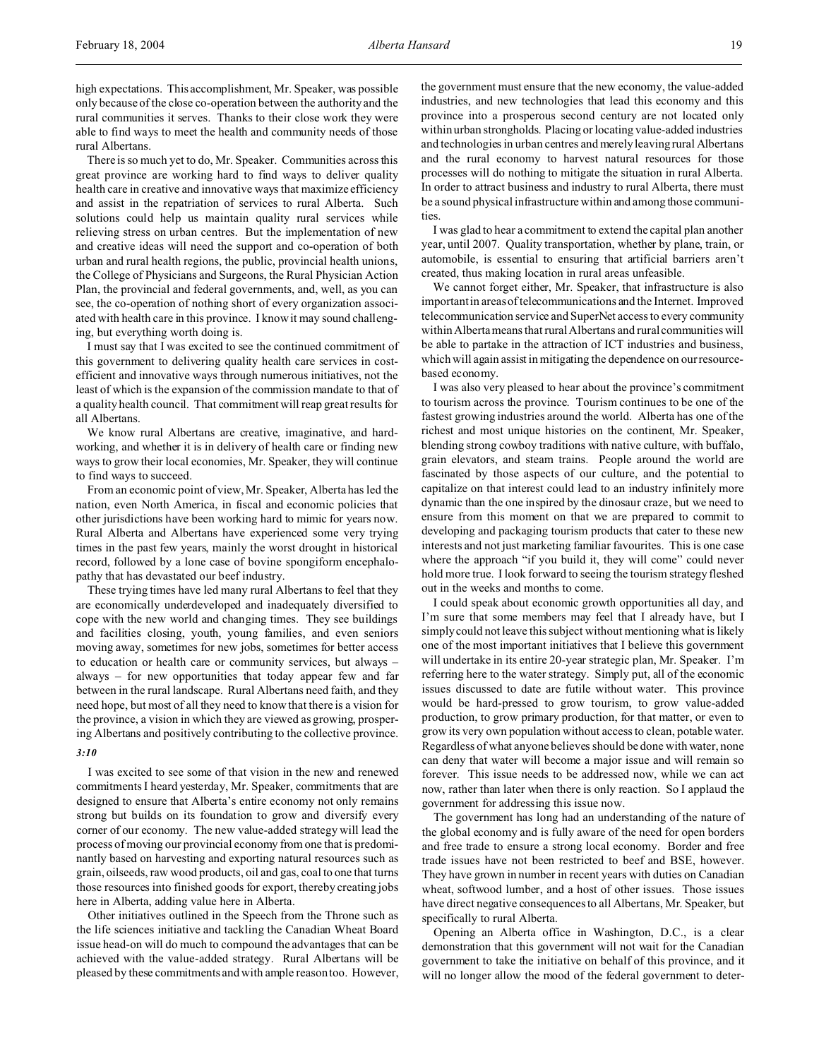high expectations. This accomplishment, Mr. Speaker, was possible only because of the close co-operation between the authority and the rural communities it serves. Thanks to their close work they were able to find ways to meet the health and community needs of those rural Albertans.

There is so much yet to do, Mr. Speaker. Communities across this great province are working hard to find ways to deliver quality health care in creative and innovative ways that maximize efficiency and assist in the repatriation of services to rural Alberta. Such solutions could help us maintain quality rural services while relieving stress on urban centres. But the implementation of new and creative ideas will need the support and co-operation of both urban and rural health regions, the public, provincial health unions, the College of Physicians and Surgeons, the Rural Physician Action Plan, the provincial and federal governments, and, well, as you can see, the co-operation of nothing short of every organization associated with health care in this province. I know it may sound challenging, but everything worth doing is.

I must say that I was excited to see the continued commitment of this government to delivering quality health care services in costefficient and innovative ways through numerous initiatives, not the least of which is the expansion of the commission mandate to that of a quality health council. That commitment will reap great results for all Albertans.

We know rural Albertans are creative, imaginative, and hardworking, and whether it is in delivery of health care or finding new ways to grow their local economies, Mr. Speaker, they will continue to find ways to succeed.

From an economic point of view, Mr. Speaker, Alberta has led the nation, even North America, in fiscal and economic policies that other jurisdictions have been working hard to mimic for years now. Rural Alberta and Albertans have experienced some very trying times in the past few years, mainly the worst drought in historical record, followed by a lone case of bovine spongiform encephalopathy that has devastated our beef industry.

These trying times have led many rural Albertans to feel that they are economically underdeveloped and inadequately diversified to cope with the new world and changing times. They see buildings and facilities closing, youth, young families, and even seniors moving away, sometimes for new jobs, sometimes for better access to education or health care or community services, but always – always – for new opportunities that today appear few and far between in the rural landscape. Rural Albertans need faith, and they need hope, but most of all they need to know that there is a vision for the province, a vision in which they are viewed as growing, prospering Albertans and positively contributing to the collective province.

### *3:10*

I was excited to see some of that vision in the new and renewed commitments I heard yesterday, Mr. Speaker, commitments that are designed to ensure that Alberta's entire economy not only remains strong but builds on its foundation to grow and diversify every corner of our economy. The new value-added strategy will lead the process of moving our provincial economy from one that is predominantly based on harvesting and exporting natural resources such as grain, oilseeds, raw wood products, oil and gas, coal to one that turns those resources into finished goods for export, thereby creating jobs here in Alberta, adding value here in Alberta.

Other initiatives outlined in the Speech from the Throne such as the life sciences initiative and tackling the Canadian Wheat Board issue head-on will do much to compound the advantages that can be achieved with the value-added strategy. Rural Albertans will be pleased by these commitments and with ample reason too. However, the government must ensure that the new economy, the value-added industries, and new technologies that lead this economy and this province into a prosperous second century are not located only within urban strongholds. Placing or locating value-added industries and technologies in urban centres and merely leaving rural Albertans and the rural economy to harvest natural resources for those processes will do nothing to mitigate the situation in rural Alberta. In order to attract business and industry to rural Alberta, there must be a sound physical infrastructure within and among those communities.

I was glad to hear a commitment to extend the capital plan another year, until 2007. Quality transportation, whether by plane, train, or automobile, is essential to ensuring that artificial barriers aren't created, thus making location in rural areas unfeasible.

We cannot forget either, Mr. Speaker, that infrastructure is also important in areas of telecommunications and the Internet. Improved telecommunication service and SuperNet access to every community within Alberta means that rural Albertans and rural communities will be able to partake in the attraction of ICT industries and business, which will again assist in mitigating the dependence on our resourcebased economy.

I was also very pleased to hear about the province's commitment to tourism across the province. Tourism continues to be one of the fastest growing industries around the world. Alberta has one of the richest and most unique histories on the continent, Mr. Speaker, blending strong cowboy traditions with native culture, with buffalo, grain elevators, and steam trains. People around the world are fascinated by those aspects of our culture, and the potential to capitalize on that interest could lead to an industry infinitely more dynamic than the one inspired by the dinosaur craze, but we need to ensure from this moment on that we are prepared to commit to developing and packaging tourism products that cater to these new interests and not just marketing familiar favourites. This is one case where the approach "if you build it, they will come" could never hold more true. I look forward to seeing the tourism strategy fleshed out in the weeks and months to come.

I could speak about economic growth opportunities all day, and I'm sure that some members may feel that I already have, but I simply could not leave this subject without mentioning what is likely one of the most important initiatives that I believe this government will undertake in its entire 20-year strategic plan, Mr. Speaker. I'm referring here to the water strategy. Simply put, all of the economic issues discussed to date are futile without water. This province would be hard-pressed to grow tourism, to grow value-added production, to grow primary production, for that matter, or even to grow its very own population without access to clean, potable water. Regardless of what anyone believes should be done with water, none can deny that water will become a major issue and will remain so forever. This issue needs to be addressed now, while we can act now, rather than later when there is only reaction. So I applaud the government for addressing this issue now.

The government has long had an understanding of the nature of the global economy and is fully aware of the need for open borders and free trade to ensure a strong local economy. Border and free trade issues have not been restricted to beef and BSE, however. They have grown in number in recent years with duties on Canadian wheat, softwood lumber, and a host of other issues. Those issues have direct negative consequences to all Albertans, Mr. Speaker, but specifically to rural Alberta.

Opening an Alberta office in Washington, D.C., is a clear demonstration that this government will not wait for the Canadian government to take the initiative on behalf of this province, and it will no longer allow the mood of the federal government to deter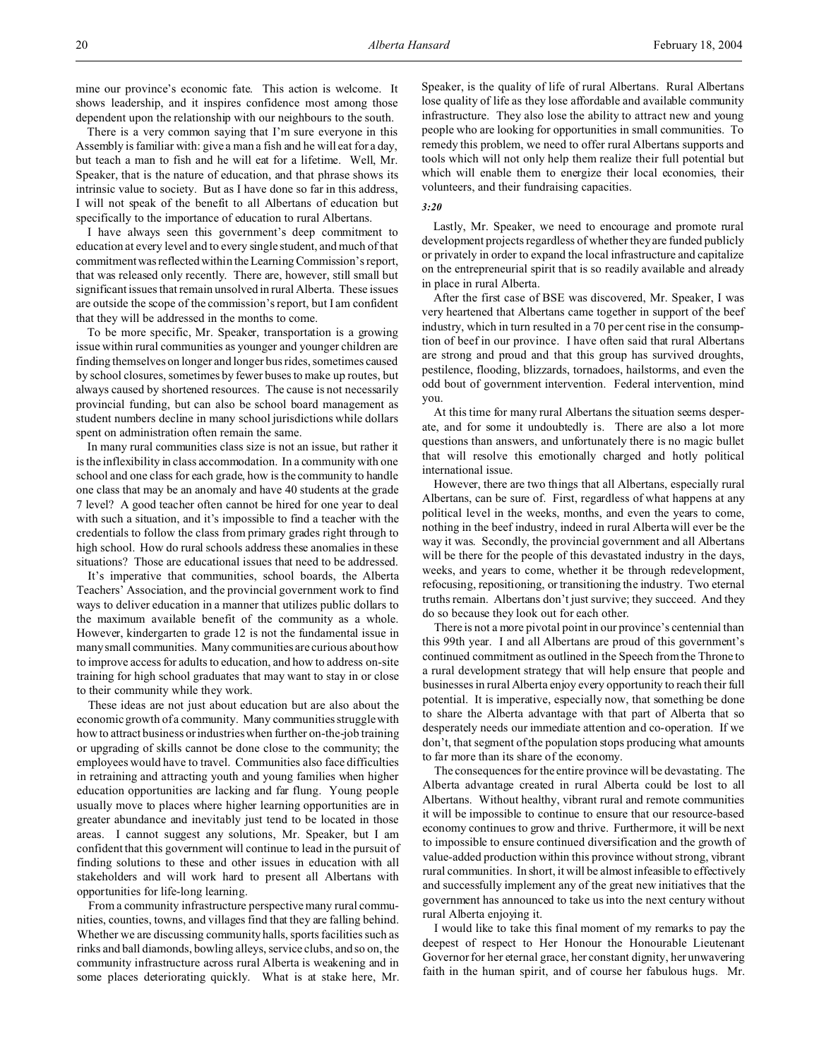mine our province's economic fate. This action is welcome. It shows leadership, and it inspires confidence most among those dependent upon the relationship with our neighbours to the south.

There is a very common saying that I'm sure everyone in this Assembly is familiar with: give a man a fish and he will eat for a day, but teach a man to fish and he will eat for a lifetime. Well, Mr. Speaker, that is the nature of education, and that phrase shows its intrinsic value to society. But as I have done so far in this address, I will not speak of the benefit to all Albertans of education but specifically to the importance of education to rural Albertans.

I have always seen this government's deep commitment to education at every level and to every single student, and much of that commitment was reflected within the Learning Commission's report, that was released only recently. There are, however, still small but significant issues that remain unsolved in rural Alberta. These issues are outside the scope of the commission's report, but I am confident that they will be addressed in the months to come.

To be more specific, Mr. Speaker, transportation is a growing issue within rural communities as younger and younger children are finding themselves on longer and longer bus rides, sometimes caused by school closures, sometimes by fewer buses to make up routes, but always caused by shortened resources. The cause is not necessarily provincial funding, but can also be school board management as student numbers decline in many school jurisdictions while dollars spent on administration often remain the same.

In many rural communities class size is not an issue, but rather it is the inflexibility in class accommodation. In a community with one school and one class for each grade, how is the community to handle one class that may be an anomaly and have 40 students at the grade 7 level? A good teacher often cannot be hired for one year to deal with such a situation, and it's impossible to find a teacher with the credentials to follow the class from primary grades right through to high school. How do rural schools address these anomalies in these situations? Those are educational issues that need to be addressed.

It's imperative that communities, school boards, the Alberta Teachers' Association, and the provincial government work to find ways to deliver education in a manner that utilizes public dollars to the maximum available benefit of the community as a whole. However, kindergarten to grade 12 is not the fundamental issue in many small communities. Many communities are curious about how to improve access for adults to education, and how to address on-site training for high school graduates that may want to stay in or close to their community while they work.

These ideas are not just about education but are also about the economic growth of a community. Many communities struggle with how to attract business or industries when further on-the-job training or upgrading of skills cannot be done close to the community; the employees would have to travel. Communities also face difficulties in retraining and attracting youth and young families when higher education opportunities are lacking and far flung. Young people usually move to places where higher learning opportunities are in greater abundance and inevitably just tend to be located in those areas. I cannot suggest any solutions, Mr. Speaker, but I am confident that this government will continue to lead in the pursuit of finding solutions to these and other issues in education with all stakeholders and will work hard to present all Albertans with opportunities for life-long learning.

From a community infrastructure perspective many rural communities, counties, towns, and villages find that they are falling behind. Whether we are discussing community halls, sports facilities such as rinks and ball diamonds, bowling alleys, service clubs, and so on, the community infrastructure across rural Alberta is weakening and in some places deteriorating quickly. What is at stake here, Mr. Speaker, is the quality of life of rural Albertans. Rural Albertans lose quality of life as they lose affordable and available community infrastructure. They also lose the ability to attract new and young people who are looking for opportunities in small communities. To remedy this problem, we need to offer rural Albertans supports and tools which will not only help them realize their full potential but which will enable them to energize their local economies, their volunteers, and their fundraising capacities.

### *3:20*

Lastly, Mr. Speaker, we need to encourage and promote rural development projects regardless of whether they are funded publicly or privately in order to expand the local infrastructure and capitalize on the entrepreneurial spirit that is so readily available and already in place in rural Alberta.

After the first case of BSE was discovered, Mr. Speaker, I was very heartened that Albertans came together in support of the beef industry, which in turn resulted in a 70 per cent rise in the consumption of beef in our province. I have often said that rural Albertans are strong and proud and that this group has survived droughts, pestilence, flooding, blizzards, tornadoes, hailstorms, and even the odd bout of government intervention. Federal intervention, mind you.

At this time for many rural Albertans the situation seems desperate, and for some it undoubtedly is. There are also a lot more questions than answers, and unfortunately there is no magic bullet that will resolve this emotionally charged and hotly political international issue.

However, there are two things that all Albertans, especially rural Albertans, can be sure of. First, regardless of what happens at any political level in the weeks, months, and even the years to come, nothing in the beef industry, indeed in rural Alberta will ever be the way it was. Secondly, the provincial government and all Albertans will be there for the people of this devastated industry in the days, weeks, and years to come, whether it be through redevelopment, refocusing, repositioning, or transitioning the industry. Two eternal truths remain. Albertans don't just survive; they succeed. And they do so because they look out for each other.

There is not a more pivotal point in our province's centennial than this 99th year. I and all Albertans are proud of this government's continued commitment as outlined in the Speech from the Throne to a rural development strategy that will help ensure that people and businesses in rural Alberta enjoy every opportunity to reach their full potential. It is imperative, especially now, that something be done to share the Alberta advantage with that part of Alberta that so desperately needs our immediate attention and co-operation. If we don't, that segment of the population stops producing what amounts to far more than its share of the economy.

The consequences for the entire province will be devastating. The Alberta advantage created in rural Alberta could be lost to all Albertans. Without healthy, vibrant rural and remote communities it will be impossible to continue to ensure that our resource-based economy continues to grow and thrive. Furthermore, it will be next to impossible to ensure continued diversification and the growth of value-added production within this province without strong, vibrant rural communities. In short, it will be almost infeasible to effectively and successfully implement any of the great new initiatives that the government has announced to take us into the next century without rural Alberta enjoying it.

I would like to take this final moment of my remarks to pay the deepest of respect to Her Honour the Honourable Lieutenant Governor for her eternal grace, her constant dignity, her unwavering faith in the human spirit, and of course her fabulous hugs. Mr.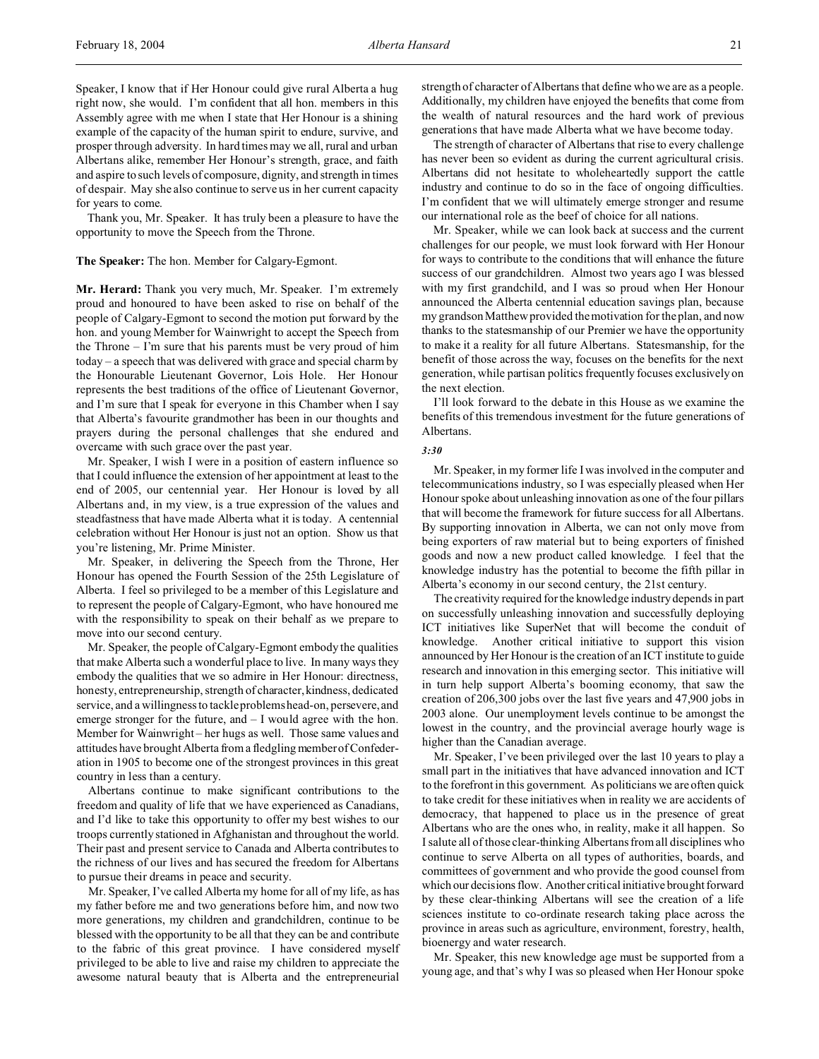Speaker, I know that if Her Honour could give rural Alberta a hug right now, she would. I'm confident that all hon. members in this Assembly agree with me when I state that Her Honour is a shining example of the capacity of the human spirit to endure, survive, and prosper through adversity. In hard times may we all, rural and urban Albertans alike, remember Her Honour's strength, grace, and faith and aspire to such levels of composure, dignity, and strength in times of despair. May she also continue to serve us in her current capacity for years to come.

Thank you, Mr. Speaker. It has truly been a pleasure to have the opportunity to move the Speech from the Throne.

**The Speaker:** The hon. Member for Calgary-Egmont.

**Mr. Herard:** Thank you very much, Mr. Speaker. I'm extremely proud and honoured to have been asked to rise on behalf of the people of Calgary-Egmont to second the motion put forward by the hon. and young Member for Wainwright to accept the Speech from the Throne – I'm sure that his parents must be very proud of him today – a speech that was delivered with grace and special charm by the Honourable Lieutenant Governor, Lois Hole. Her Honour represents the best traditions of the office of Lieutenant Governor, and I'm sure that I speak for everyone in this Chamber when I say that Alberta's favourite grandmother has been in our thoughts and prayers during the personal challenges that she endured and overcame with such grace over the past year.

Mr. Speaker, I wish I were in a position of eastern influence so that I could influence the extension of her appointment at least to the end of 2005, our centennial year. Her Honour is loved by all Albertans and, in my view, is a true expression of the values and steadfastness that have made Alberta what it is today. A centennial celebration without Her Honour is just not an option. Show us that you're listening, Mr. Prime Minister.

Mr. Speaker, in delivering the Speech from the Throne, Her Honour has opened the Fourth Session of the 25th Legislature of Alberta. I feel so privileged to be a member of this Legislature and to represent the people of Calgary-Egmont, who have honoured me with the responsibility to speak on their behalf as we prepare to move into our second century.

Mr. Speaker, the people of Calgary-Egmont embody the qualities that make Alberta such a wonderful place to live. In many ways they embody the qualities that we so admire in Her Honour: directness, honesty, entrepreneurship, strength of character, kindness, dedicated service, and a willingness to tackle problems head-on, persevere, and emerge stronger for the future, and – I would agree with the hon. Member for Wainwright – her hugs as well. Those same values and attitudes have brought Alberta from a fledgling member of Confederation in 1905 to become one of the strongest provinces in this great country in less than a century.

Albertans continue to make significant contributions to the freedom and quality of life that we have experienced as Canadians, and I'd like to take this opportunity to offer my best wishes to our troops currently stationed in Afghanistan and throughout the world. Their past and present service to Canada and Alberta contributes to the richness of our lives and has secured the freedom for Albertans to pursue their dreams in peace and security.

Mr. Speaker, I've called Alberta my home for all of my life, as has my father before me and two generations before him, and now two more generations, my children and grandchildren, continue to be blessed with the opportunity to be all that they can be and contribute to the fabric of this great province. I have considered myself privileged to be able to live and raise my children to appreciate the awesome natural beauty that is Alberta and the entrepreneurial

strength of character of Albertans that define who we are as a people. Additionally, my children have enjoyed the benefits that come from the wealth of natural resources and the hard work of previous generations that have made Alberta what we have become today.

The strength of character of Albertans that rise to every challenge has never been so evident as during the current agricultural crisis. Albertans did not hesitate to wholeheartedly support the cattle industry and continue to do so in the face of ongoing difficulties. I'm confident that we will ultimately emerge stronger and resume our international role as the beef of choice for all nations.

Mr. Speaker, while we can look back at success and the current challenges for our people, we must look forward with Her Honour for ways to contribute to the conditions that will enhance the future success of our grandchildren. Almost two years ago I was blessed with my first grandchild, and I was so proud when Her Honour announced the Alberta centennial education savings plan, because my grandson Matthew provided the motivation for the plan, and now thanks to the statesmanship of our Premier we have the opportunity to make it a reality for all future Albertans. Statesmanship, for the benefit of those across the way, focuses on the benefits for the next generation, while partisan politics frequently focuses exclusively on the next election.

I'll look forward to the debate in this House as we examine the benefits of this tremendous investment for the future generations of Albertans.

#### *3:30*

Mr. Speaker, in my former life I was involved in the computer and telecommunications industry, so I was especially pleased when Her Honour spoke about unleashing innovation as one of the four pillars that will become the framework for future success for all Albertans. By supporting innovation in Alberta, we can not only move from being exporters of raw material but to being exporters of finished goods and now a new product called knowledge. I feel that the knowledge industry has the potential to become the fifth pillar in Alberta's economy in our second century, the 21st century.

The creativity required for the knowledge industry depends in part on successfully unleashing innovation and successfully deploying ICT initiatives like SuperNet that will become the conduit of knowledge. Another critical initiative to support this vision announced by Her Honour is the creation of an ICT institute to guide research and innovation in this emerging sector. This initiative will in turn help support Alberta's booming economy, that saw the creation of 206,300 jobs over the last five years and 47,900 jobs in 2003 alone. Our unemployment levels continue to be amongst the lowest in the country, and the provincial average hourly wage is higher than the Canadian average.

Mr. Speaker, I've been privileged over the last 10 years to play a small part in the initiatives that have advanced innovation and ICT to the forefront in this government. As politicians we are often quick to take credit for these initiatives when in reality we are accidents of democracy, that happened to place us in the presence of great Albertans who are the ones who, in reality, make it all happen. So I salute all of those clear-thinking Albertans from all disciplines who continue to serve Alberta on all types of authorities, boards, and committees of government and who provide the good counsel from which our decisions flow. Another critical initiative brought forward by these clear-thinking Albertans will see the creation of a life sciences institute to co-ordinate research taking place across the province in areas such as agriculture, environment, forestry, health, bioenergy and water research.

Mr. Speaker, this new knowledge age must be supported from a young age, and that's why I was so pleased when Her Honour spoke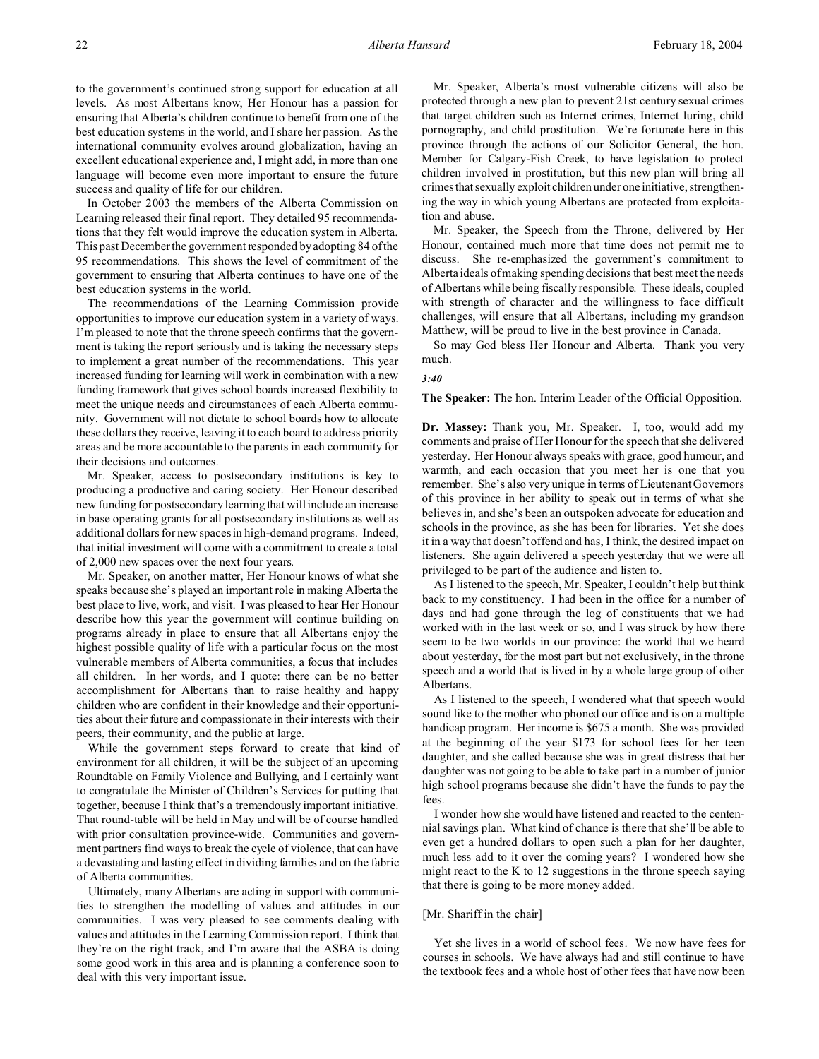to the government's continued strong support for education at all levels. As most Albertans know, Her Honour has a passion for ensuring that Alberta's children continue to benefit from one of the best education systems in the world, and I share her passion. As the international community evolves around globalization, having an excellent educational experience and, I might add, in more than one language will become even more important to ensure the future success and quality of life for our children.

In October 2003 the members of the Alberta Commission on Learning released their final report. They detailed 95 recommendations that they felt would improve the education system in Alberta. This past December the government responded by adopting 84 of the 95 recommendations. This shows the level of commitment of the government to ensuring that Alberta continues to have one of the best education systems in the world.

The recommendations of the Learning Commission provide opportunities to improve our education system in a variety of ways. I'm pleased to note that the throne speech confirms that the government is taking the report seriously and is taking the necessary steps to implement a great number of the recommendations. This year increased funding for learning will work in combination with a new funding framework that gives school boards increased flexibility to meet the unique needs and circumstances of each Alberta community. Government will not dictate to school boards how to allocate these dollars they receive, leaving it to each board to address priority areas and be more accountable to the parents in each community for their decisions and outcomes.

Mr. Speaker, access to postsecondary institutions is key to producing a productive and caring society. Her Honour described new funding for postsecondary learning that will include an increase in base operating grants for all postsecondary institutions as well as additional dollars for new spaces in high-demand programs. Indeed, that initial investment will come with a commitment to create a total of 2,000 new spaces over the next four years.

Mr. Speaker, on another matter, Her Honour knows of what she speaks because she's played an important role in making Alberta the best place to live, work, and visit. I was pleased to hear Her Honour describe how this year the government will continue building on programs already in place to ensure that all Albertans enjoy the highest possible quality of life with a particular focus on the most vulnerable members of Alberta communities, a focus that includes all children. In her words, and I quote: there can be no better accomplishment for Albertans than to raise healthy and happy children who are confident in their knowledge and their opportunities about their future and compassionate in their interests with their peers, their community, and the public at large.

While the government steps forward to create that kind of environment for all children, it will be the subject of an upcoming Roundtable on Family Violence and Bullying, and I certainly want to congratulate the Minister of Children's Services for putting that together, because I think that's a tremendously important initiative. That round-table will be held in May and will be of course handled with prior consultation province-wide. Communities and government partners find ways to break the cycle of violence, that can have a devastating and lasting effect in dividing families and on the fabric of Alberta communities.

Ultimately, many Albertans are acting in support with communities to strengthen the modelling of values and attitudes in our communities. I was very pleased to see comments dealing with values and attitudes in the Learning Commission report. I think that they're on the right track, and I'm aware that the ASBA is doing some good work in this area and is planning a conference soon to deal with this very important issue.

Mr. Speaker, Alberta's most vulnerable citizens will also be protected through a new plan to prevent 21st century sexual crimes that target children such as Internet crimes, Internet luring, child pornography, and child prostitution. We're fortunate here in this province through the actions of our Solicitor General, the hon. Member for Calgary-Fish Creek, to have legislation to protect children involved in prostitution, but this new plan will bring all crimes that sexually exploit children under one initiative, strengthening the way in which young Albertans are protected from exploitation and abuse.

Mr. Speaker, the Speech from the Throne, delivered by Her Honour, contained much more that time does not permit me to discuss. She re-emphasized the government's commitment to Alberta ideals of making spending decisions that best meet the needs of Albertans while being fiscally responsible. These ideals, coupled with strength of character and the willingness to face difficult challenges, will ensure that all Albertans, including my grandson Matthew, will be proud to live in the best province in Canada.

So may God bless Her Honour and Alberta. Thank you very much.

#### *3:40*

**The Speaker:** The hon. Interim Leader of the Official Opposition.

**Dr. Massey:** Thank you, Mr. Speaker. I, too, would add my comments and praise of Her Honour for the speech that she delivered yesterday. Her Honour always speaks with grace, good humour, and warmth, and each occasion that you meet her is one that you remember. She's also very unique in terms of Lieutenant Governors of this province in her ability to speak out in terms of what she believes in, and she's been an outspoken advocate for education and schools in the province, as she has been for libraries. Yet she does it in a way that doesn't offend and has, I think, the desired impact on listeners. She again delivered a speech yesterday that we were all privileged to be part of the audience and listen to.

As I listened to the speech, Mr. Speaker, I couldn't help but think back to my constituency. I had been in the office for a number of days and had gone through the log of constituents that we had worked with in the last week or so, and I was struck by how there seem to be two worlds in our province: the world that we heard about yesterday, for the most part but not exclusively, in the throne speech and a world that is lived in by a whole large group of other Albertans.

As I listened to the speech, I wondered what that speech would sound like to the mother who phoned our office and is on a multiple handicap program. Her income is \$675 a month. She was provided at the beginning of the year \$173 for school fees for her teen daughter, and she called because she was in great distress that her daughter was not going to be able to take part in a number of junior high school programs because she didn't have the funds to pay the fees.

I wonder how she would have listened and reacted to the centennial savings plan. What kind of chance is there that she'll be able to even get a hundred dollars to open such a plan for her daughter, much less add to it over the coming years? I wondered how she might react to the K to 12 suggestions in the throne speech saying that there is going to be more money added.

### [Mr. Shariff in the chair]

Yet she lives in a world of school fees. We now have fees for courses in schools. We have always had and still continue to have the textbook fees and a whole host of other fees that have now been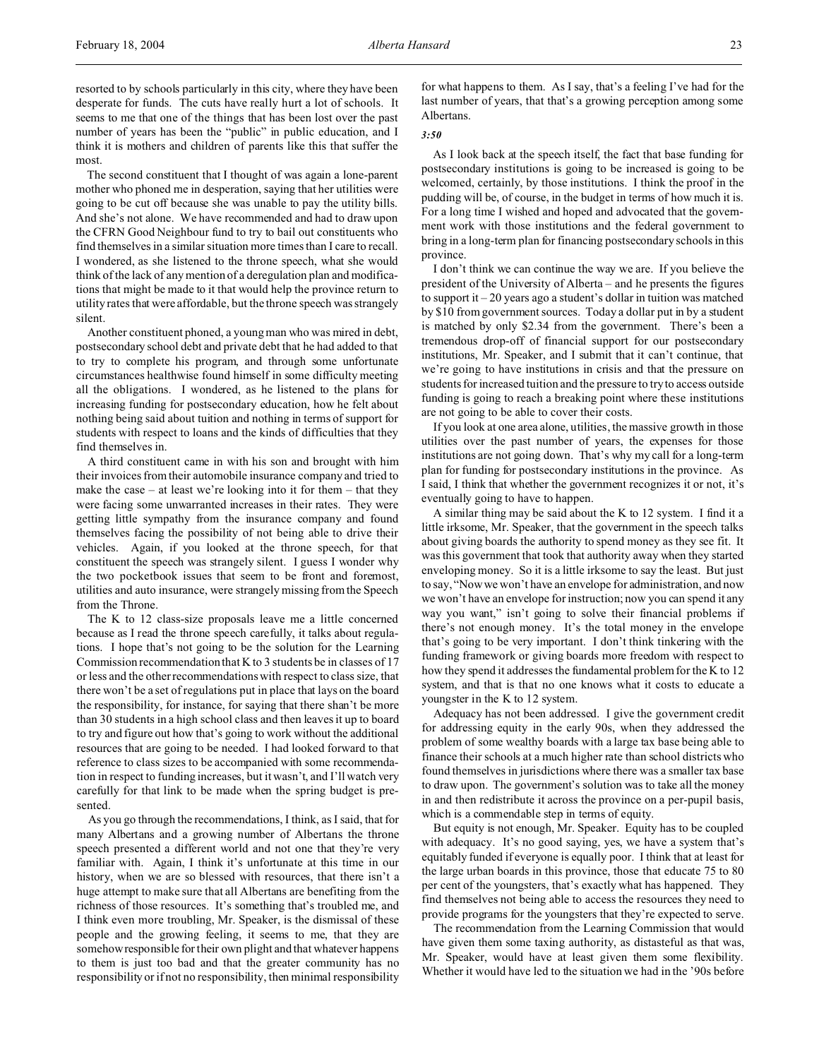resorted to by schools particularly in this city, where they have been desperate for funds. The cuts have really hurt a lot of schools. It seems to me that one of the things that has been lost over the past number of years has been the "public" in public education, and I think it is mothers and children of parents like this that suffer the most.

The second constituent that I thought of was again a lone-parent mother who phoned me in desperation, saying that her utilities were going to be cut off because she was unable to pay the utility bills. And she's not alone. We have recommended and had to draw upon the CFRN Good Neighbour fund to try to bail out constituents who find themselves in a similar situation more times than I care to recall. I wondered, as she listened to the throne speech, what she would think of the lack of any mention of a deregulation plan and modifications that might be made to it that would help the province return to utility rates that were affordable, but the throne speech was strangely silent.

Another constituent phoned, a young man who was mired in debt, postsecondary school debt and private debt that he had added to that to try to complete his program, and through some unfortunate circumstances healthwise found himself in some difficulty meeting all the obligations. I wondered, as he listened to the plans for increasing funding for postsecondary education, how he felt about nothing being said about tuition and nothing in terms of support for students with respect to loans and the kinds of difficulties that they find themselves in.

A third constituent came in with his son and brought with him their invoices from their automobile insurance company and tried to make the case – at least we're looking into it for them – that they were facing some unwarranted increases in their rates. They were getting little sympathy from the insurance company and found themselves facing the possibility of not being able to drive their vehicles. Again, if you looked at the throne speech, for that constituent the speech was strangely silent. I guess I wonder why the two pocketbook issues that seem to be front and foremost, utilities and auto insurance, were strangely missing from the Speech from the Throne.

The K to 12 class-size proposals leave me a little concerned because as I read the throne speech carefully, it talks about regulations. I hope that's not going to be the solution for the Learning Commission recommendation that K to 3 students be in classes of 17 or less and the other recommendations with respect to class size, that there won't be a set of regulations put in place that lays on the board the responsibility, for instance, for saying that there shan't be more than 30 students in a high school class and then leaves it up to board to try and figure out how that's going to work without the additional resources that are going to be needed. I had looked forward to that reference to class sizes to be accompanied with some recommendation in respect to funding increases, but it wasn't, and I'll watch very carefully for that link to be made when the spring budget is presented.

As you go through the recommendations, I think, as I said, that for many Albertans and a growing number of Albertans the throne speech presented a different world and not one that they're very familiar with. Again, I think it's unfortunate at this time in our history, when we are so blessed with resources, that there isn't a huge attempt to make sure that all Albertans are benefiting from the richness of those resources. It's something that's troubled me, and I think even more troubling, Mr. Speaker, is the dismissal of these people and the growing feeling, it seems to me, that they are somehow responsible for their own plight and that whatever happens to them is just too bad and that the greater community has no responsibility or if not no responsibility, then minimal responsibility for what happens to them. As I say, that's a feeling I've had for the last number of years, that that's a growing perception among some Albertans.

### *3:50*

As I look back at the speech itself, the fact that base funding for postsecondary institutions is going to be increased is going to be welcomed, certainly, by those institutions. I think the proof in the pudding will be, of course, in the budget in terms of how much it is. For a long time I wished and hoped and advocated that the government work with those institutions and the federal government to bring in a long-term plan for financing postsecondary schools in this province.

I don't think we can continue the way we are. If you believe the president of the University of Alberta – and he presents the figures to support it  $-20$  years ago a student's dollar in tuition was matched by \$10 from government sources. Today a dollar put in by a student is matched by only \$2.34 from the government. There's been a tremendous drop-off of financial support for our postsecondary institutions, Mr. Speaker, and I submit that it can't continue, that we're going to have institutions in crisis and that the pressure on students for increased tuition and the pressure to try to access outside funding is going to reach a breaking point where these institutions are not going to be able to cover their costs.

If you look at one area alone, utilities, the massive growth in those utilities over the past number of years, the expenses for those institutions are not going down. That's why my call for a long-term plan for funding for postsecondary institutions in the province. As I said, I think that whether the government recognizes it or not, it's eventually going to have to happen.

A similar thing may be said about the K to 12 system. I find it a little irksome, Mr. Speaker, that the government in the speech talks about giving boards the authority to spend money as they see fit. It was this government that took that authority away when they started enveloping money. So it is a little irksome to say the least. But just to say, "Now we won't have an envelope for administration, and now we won't have an envelope for instruction; now you can spend it any way you want," isn't going to solve their financial problems if there's not enough money. It's the total money in the envelope that's going to be very important. I don't think tinkering with the funding framework or giving boards more freedom with respect to how they spend it addresses the fundamental problem for the K to 12 system, and that is that no one knows what it costs to educate a youngster in the K to 12 system.

Adequacy has not been addressed. I give the government credit for addressing equity in the early 90s, when they addressed the problem of some wealthy boards with a large tax base being able to finance their schools at a much higher rate than school districts who found themselves in jurisdictions where there was a smaller tax base to draw upon. The government's solution was to take all the money in and then redistribute it across the province on a per-pupil basis, which is a commendable step in terms of equity.

But equity is not enough, Mr. Speaker. Equity has to be coupled with adequacy. It's no good saying, yes, we have a system that's equitably funded if everyone is equally poor. I think that at least for the large urban boards in this province, those that educate 75 to 80 per cent of the youngsters, that's exactly what has happened. They find themselves not being able to access the resources they need to provide programs for the youngsters that they're expected to serve.

The recommendation from the Learning Commission that would have given them some taxing authority, as distasteful as that was, Mr. Speaker, would have at least given them some flexibility. Whether it would have led to the situation we had in the '90s before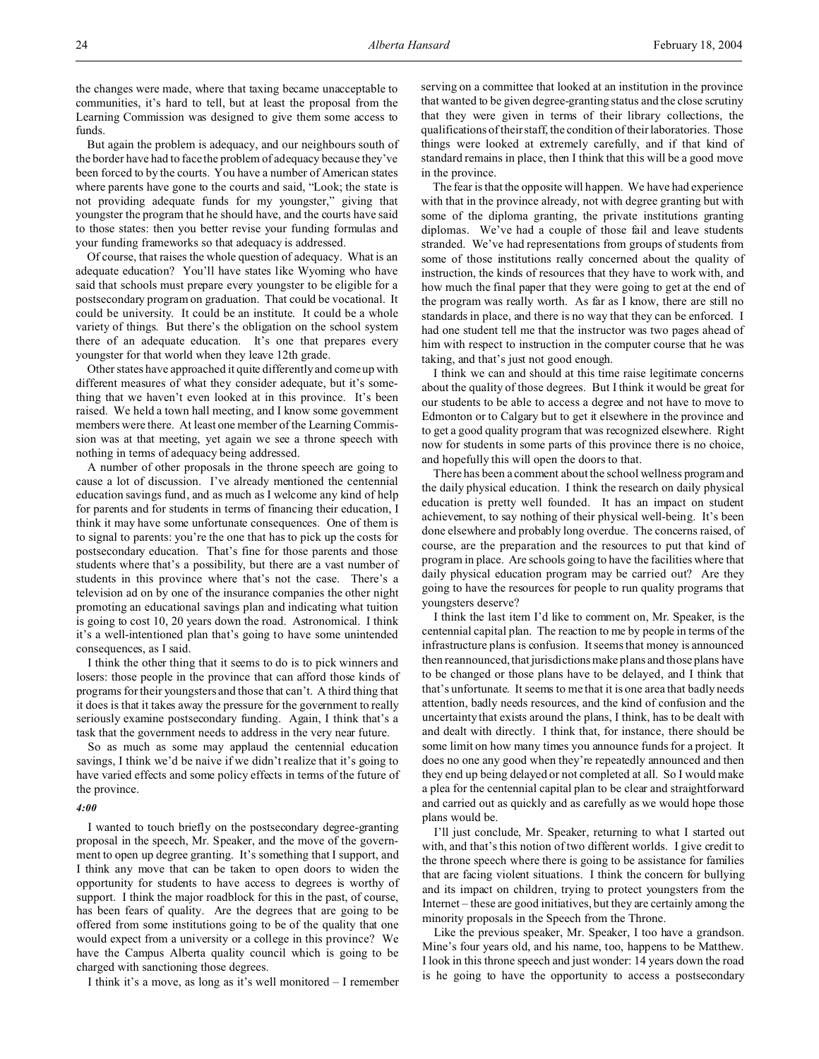the changes were made, where that taxing became unacceptable to communities, it's hard to tell, but at least the proposal from the Learning Commission was designed to give them some access to funds.

But again the problem is adequacy, and our neighbours south of the border have had to face the problem of adequacy because they've been forced to by the courts. You have a number of American states where parents have gone to the courts and said, "Look; the state is not providing adequate funds for my youngster," giving that youngster the program that he should have, and the courts have said to those states: then you better revise your funding formulas and your funding frameworks so that adequacy is addressed.

Of course, that raises the whole question of adequacy. What is an adequate education? You'll have states like Wyoming who have said that schools must prepare every youngster to be eligible for a postsecondary program on graduation. That could be vocational. It could be university. It could be an institute. It could be a whole variety of things. But there's the obligation on the school system there of an adequate education. It's one that prepares every youngster for that world when they leave 12th grade.

Other states have approached it quite differently and come up with different measures of what they consider adequate, but it's something that we haven't even looked at in this province. It's been raised. We held a town hall meeting, and I know some government members were there. At least one member of the Learning Commission was at that meeting, yet again we see a throne speech with nothing in terms of adequacy being addressed.

A number of other proposals in the throne speech are going to cause a lot of discussion. I've already mentioned the centennial education savings fund, and as much as I welcome any kind of help for parents and for students in terms of financing their education, I think it may have some unfortunate consequences. One of them is to signal to parents: you're the one that has to pick up the costs for postsecondary education. That's fine for those parents and those students where that's a possibility, but there are a vast number of students in this province where that's not the case. There's a television ad on by one of the insurance companies the other night promoting an educational savings plan and indicating what tuition is going to cost 10, 20 years down the road. Astronomical. I think it's a well-intentioned plan that's going to have some unintended consequences, as I said.

I think the other thing that it seems to do is to pick winners and losers: those people in the province that can afford those kinds of programs for their youngsters and those that can't. A third thing that it does is that it takes away the pressure for the government to really seriously examine postsecondary funding. Again, I think that's a task that the government needs to address in the very near future.

So as much as some may applaud the centennial education savings, I think we'd be naive if we didn't realize that it's going to have varied effects and some policy effects in terms of the future of the province.

### *4:00*

I wanted to touch briefly on the postsecondary degree-granting proposal in the speech, Mr. Speaker, and the move of the government to open up degree granting. It's something that I support, and I think any move that can be taken to open doors to widen the opportunity for students to have access to degrees is worthy of support. I think the major roadblock for this in the past, of course, has been fears of quality. Are the degrees that are going to be offered from some institutions going to be of the quality that one would expect from a university or a college in this province? We have the Campus Alberta quality council which is going to be charged with sanctioning those degrees.

I think it's a move, as long as it's well monitored – I remember

serving on a committee that looked at an institution in the province that wanted to be given degree-granting status and the close scrutiny that they were given in terms of their library collections, the qualifications of their staff, the condition of their laboratories. Those things were looked at extremely carefully, and if that kind of standard remains in place, then I think that this will be a good move in the province.

The fear is that the opposite will happen. We have had experience with that in the province already, not with degree granting but with some of the diploma granting, the private institutions granting diplomas. We've had a couple of those fail and leave students stranded. We've had representations from groups of students from some of those institutions really concerned about the quality of instruction, the kinds of resources that they have to work with, and how much the final paper that they were going to get at the end of the program was really worth. As far as I know, there are still no standards in place, and there is no way that they can be enforced. I had one student tell me that the instructor was two pages ahead of him with respect to instruction in the computer course that he was taking, and that's just not good enough.

I think we can and should at this time raise legitimate concerns about the quality of those degrees. But I think it would be great for our students to be able to access a degree and not have to move to Edmonton or to Calgary but to get it elsewhere in the province and to get a good quality program that was recognized elsewhere. Right now for students in some parts of this province there is no choice, and hopefully this will open the doors to that.

There has been a comment about the school wellness program and the daily physical education. I think the research on daily physical education is pretty well founded. It has an impact on student achievement, to say nothing of their physical well-being. It's been done elsewhere and probably long overdue. The concerns raised, of course, are the preparation and the resources to put that kind of program in place. Are schools going to have the facilities where that daily physical education program may be carried out? Are they going to have the resources for people to run quality programs that youngsters deserve?

I think the last item I'd like to comment on, Mr. Speaker, is the centennial capital plan. The reaction to me by people in terms of the infrastructure plans is confusion. It seems that money is announced then reannounced, that jurisdictions make plans and those plans have to be changed or those plans have to be delayed, and I think that that's unfortunate. It seems to me that it is one area that badly needs attention, badly needs resources, and the kind of confusion and the uncertainty that exists around the plans, I think, has to be dealt with and dealt with directly. I think that, for instance, there should be some limit on how many times you announce funds for a project. It does no one any good when they're repeatedly announced and then they end up being delayed or not completed at all. So I would make a plea for the centennial capital plan to be clear and straightforward and carried out as quickly and as carefully as we would hope those plans would be.

I'll just conclude, Mr. Speaker, returning to what I started out with, and that's this notion of two different worlds. I give credit to the throne speech where there is going to be assistance for families that are facing violent situations. I think the concern for bullying and its impact on children, trying to protect youngsters from the Internet – these are good initiatives, but they are certainly among the minority proposals in the Speech from the Throne.

Like the previous speaker, Mr. Speaker, I too have a grandson. Mine's four years old, and his name, too, happens to be Matthew. I look in this throne speech and just wonder: 14 years down the road is he going to have the opportunity to access a postsecondary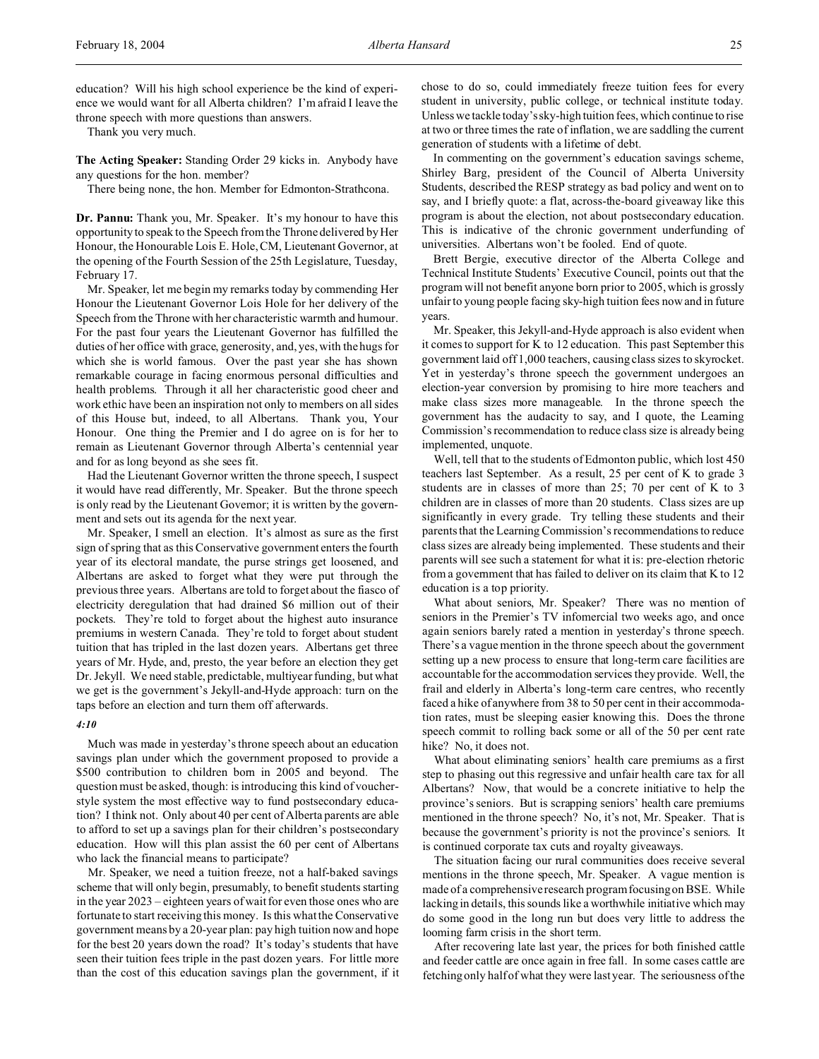education? Will his high school experience be the kind of experience we would want for all Alberta children? I'm afraid I leave the throne speech with more questions than answers.

Thank you very much.

**The Acting Speaker:** Standing Order 29 kicks in. Anybody have any questions for the hon. member?

There being none, the hon. Member for Edmonton-Strathcona.

**Dr. Pannu:** Thank you, Mr. Speaker. It's my honour to have this opportunity to speak to the Speech from the Throne delivered by Her Honour, the Honourable Lois E. Hole, CM, Lieutenant Governor, at the opening of the Fourth Session of the 25th Legislature, Tuesday, February 17.

Mr. Speaker, let me begin my remarks today by commending Her Honour the Lieutenant Governor Lois Hole for her delivery of the Speech from the Throne with her characteristic warmth and humour. For the past four years the Lieutenant Governor has fulfilled the duties of her office with grace, generosity, and, yes, with the hugs for which she is world famous. Over the past year she has shown remarkable courage in facing enormous personal difficulties and health problems. Through it all her characteristic good cheer and work ethic have been an inspiration not only to members on all sides of this House but, indeed, to all Albertans. Thank you, Your Honour. One thing the Premier and I do agree on is for her to remain as Lieutenant Governor through Alberta's centennial year and for as long beyond as she sees fit.

Had the Lieutenant Governor written the throne speech, I suspect it would have read differently, Mr. Speaker. But the throne speech is only read by the Lieutenant Governor; it is written by the government and sets out its agenda for the next year.

Mr. Speaker, I smell an election. It's almost as sure as the first sign of spring that as this Conservative government enters the fourth year of its electoral mandate, the purse strings get loosened, and Albertans are asked to forget what they were put through the previous three years. Albertans are told to forget about the fiasco of electricity deregulation that had drained \$6 million out of their pockets. They're told to forget about the highest auto insurance premiums in western Canada. They're told to forget about student tuition that has tripled in the last dozen years. Albertans get three years of Mr. Hyde, and, presto, the year before an election they get Dr. Jekyll. We need stable, predictable, multiyear funding, but what we get is the government's Jekyll-and-Hyde approach: turn on the taps before an election and turn them off afterwards.

### *4:10*

Much was made in yesterday's throne speech about an education savings plan under which the government proposed to provide a \$500 contribution to children born in 2005 and beyond. The question must be asked, though: is introducing this kind of voucherstyle system the most effective way to fund postsecondary education? I think not. Only about 40 per cent of Alberta parents are able to afford to set up a savings plan for their children's postsecondary education. How will this plan assist the 60 per cent of Albertans who lack the financial means to participate?

Mr. Speaker, we need a tuition freeze, not a half-baked savings scheme that will only begin, presumably, to benefit students starting in the year 2023 – eighteen years of wait for even those ones who are fortunate to start receiving this money. Is this what the Conservative government means by a 20-year plan: pay high tuition now and hope for the best 20 years down the road? It's today's students that have seen their tuition fees triple in the past dozen years. For little more than the cost of this education savings plan the government, if it chose to do so, could immediately freeze tuition fees for every student in university, public college, or technical institute today. Unless we tackle today's sky-high tuition fees, which continue to rise at two or three times the rate of inflation, we are saddling the current generation of students with a lifetime of debt.

In commenting on the government's education savings scheme, Shirley Barg, president of the Council of Alberta University Students, described the RESP strategy as bad policy and went on to say, and I briefly quote: a flat, across-the-board giveaway like this program is about the election, not about postsecondary education. This is indicative of the chronic government underfunding of universities. Albertans won't be fooled. End of quote.

Brett Bergie, executive director of the Alberta College and Technical Institute Students' Executive Council, points out that the program will not benefit anyone born prior to 2005, which is grossly unfair to young people facing sky-high tuition fees now and in future years.

Mr. Speaker, this Jekyll-and-Hyde approach is also evident when it comes to support for K to 12 education. This past September this government laid off 1,000 teachers, causing class sizes to skyrocket. Yet in yesterday's throne speech the government undergoes an election-year conversion by promising to hire more teachers and make class sizes more manageable. In the throne speech the government has the audacity to say, and I quote, the Learning Commission's recommendation to reduce class size is already being implemented, unquote.

Well, tell that to the students of Edmonton public, which lost 450 teachers last September. As a result, 25 per cent of K to grade 3 students are in classes of more than 25; 70 per cent of K to 3 children are in classes of more than 20 students. Class sizes are up significantly in every grade. Try telling these students and their parents that the Learning Commission's recommendations to reduce class sizes are already being implemented. These students and their parents will see such a statement for what it is: pre-election rhetoric from a government that has failed to deliver on its claim that K to 12 education is a top priority.

What about seniors, Mr. Speaker? There was no mention of seniors in the Premier's TV infomercial two weeks ago, and once again seniors barely rated a mention in yesterday's throne speech. There's a vague mention in the throne speech about the government setting up a new process to ensure that long-term care facilities are accountable for the accommodation services they provide. Well, the frail and elderly in Alberta's long-term care centres, who recently faced a hike of anywhere from 38 to 50 per cent in their accommodation rates, must be sleeping easier knowing this. Does the throne speech commit to rolling back some or all of the 50 per cent rate hike? No, it does not.

What about eliminating seniors' health care premiums as a first step to phasing out this regressive and unfair health care tax for all Albertans? Now, that would be a concrete initiative to help the province's seniors. But is scrapping seniors' health care premiums mentioned in the throne speech? No, it's not, Mr. Speaker. That is because the government's priority is not the province's seniors. It is continued corporate tax cuts and royalty giveaways.

The situation facing our rural communities does receive several mentions in the throne speech, Mr. Speaker. A vague mention is made of a comprehensive research program focusing on BSE. While lacking in details, this sounds like a worthwhile initiative which may do some good in the long run but does very little to address the looming farm crisis in the short term.

After recovering late last year, the prices for both finished cattle and feeder cattle are once again in free fall. In some cases cattle are fetching only half of what they were last year. The seriousness of the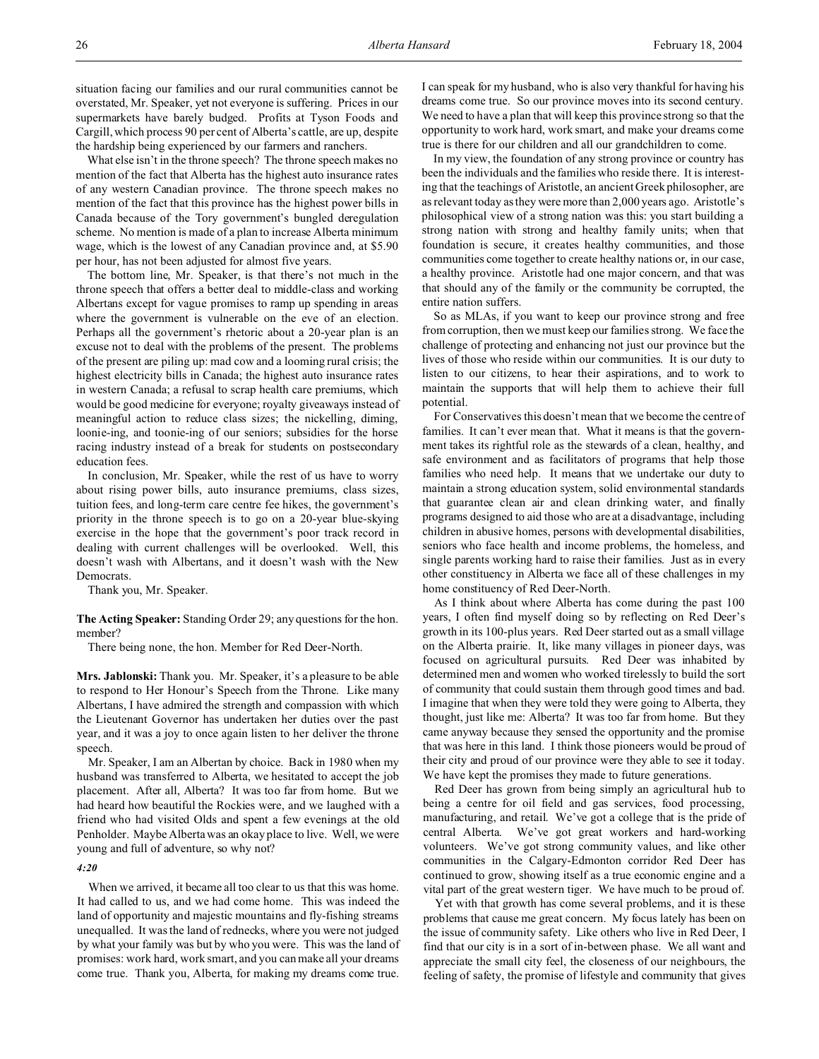situation facing our families and our rural communities cannot be overstated, Mr. Speaker, yet not everyone is suffering. Prices in our supermarkets have barely budged. Profits at Tyson Foods and Cargill, which process 90 per cent of Alberta's cattle, are up, despite the hardship being experienced by our farmers and ranchers.

What else isn't in the throne speech? The throne speech makes no mention of the fact that Alberta has the highest auto insurance rates of any western Canadian province. The throne speech makes no mention of the fact that this province has the highest power bills in Canada because of the Tory government's bungled deregulation scheme. No mention is made of a plan to increase Alberta minimum wage, which is the lowest of any Canadian province and, at \$5.90 per hour, has not been adjusted for almost five years.

The bottom line, Mr. Speaker, is that there's not much in the throne speech that offers a better deal to middle-class and working Albertans except for vague promises to ramp up spending in areas where the government is vulnerable on the eve of an election. Perhaps all the government's rhetoric about a 20-year plan is an excuse not to deal with the problems of the present. The problems of the present are piling up: mad cow and a looming rural crisis; the highest electricity bills in Canada; the highest auto insurance rates in western Canada; a refusal to scrap health care premiums, which would be good medicine for everyone; royalty giveaways instead of meaningful action to reduce class sizes; the nickelling, diming, loonie-ing, and toonie-ing of our seniors; subsidies for the horse racing industry instead of a break for students on postsecondary education fees.

In conclusion, Mr. Speaker, while the rest of us have to worry about rising power bills, auto insurance premiums, class sizes, tuition fees, and long-term care centre fee hikes, the government's priority in the throne speech is to go on a 20-year blue-skying exercise in the hope that the government's poor track record in dealing with current challenges will be overlooked. Well, this doesn't wash with Albertans, and it doesn't wash with the New Democrats.

Thank you, Mr. Speaker.

**The Acting Speaker:** Standing Order 29; any questions for the hon. member?

There being none, the hon. Member for Red Deer-North.

**Mrs. Jablonski:** Thank you. Mr. Speaker, it's a pleasure to be able to respond to Her Honour's Speech from the Throne. Like many Albertans, I have admired the strength and compassion with which the Lieutenant Governor has undertaken her duties over the past year, and it was a joy to once again listen to her deliver the throne speech.

Mr. Speaker, I am an Albertan by choice. Back in 1980 when my husband was transferred to Alberta, we hesitated to accept the job placement. After all, Alberta? It was too far from home. But we had heard how beautiful the Rockies were, and we laughed with a friend who had visited Olds and spent a few evenings at the old Penholder. Maybe Alberta was an okay place to live. Well, we were young and full of adventure, so why not?

### *4:20*

When we arrived, it became all too clear to us that this was home. It had called to us, and we had come home. This was indeed the land of opportunity and majestic mountains and fly-fishing streams unequalled. It was the land of rednecks, where you were not judged by what your family was but by who you were. This was the land of promises: work hard, work smart, and you can make all your dreams come true. Thank you, Alberta, for making my dreams come true.

I can speak for my husband, who is also very thankful for having his dreams come true. So our province moves into its second century. We need to have a plan that will keep this province strong so that the opportunity to work hard, work smart, and make your dreams come true is there for our children and all our grandchildren to come.

In my view, the foundation of any strong province or country has been the individuals and the families who reside there. It is interesting that the teachings of Aristotle, an ancient Greek philosopher, are as relevant today as they were more than 2,000 years ago. Aristotle's philosophical view of a strong nation was this: you start building a strong nation with strong and healthy family units; when that foundation is secure, it creates healthy communities, and those communities come together to create healthy nations or, in our case, a healthy province. Aristotle had one major concern, and that was that should any of the family or the community be corrupted, the entire nation suffers.

So as MLAs, if you want to keep our province strong and free from corruption, then we must keep our families strong. We face the challenge of protecting and enhancing not just our province but the lives of those who reside within our communities. It is our duty to listen to our citizens, to hear their aspirations, and to work to maintain the supports that will help them to achieve their full potential.

For Conservatives this doesn't mean that we become the centre of families. It can't ever mean that. What it means is that the government takes its rightful role as the stewards of a clean, healthy, and safe environment and as facilitators of programs that help those families who need help. It means that we undertake our duty to maintain a strong education system, solid environmental standards that guarantee clean air and clean drinking water, and finally programs designed to aid those who are at a disadvantage, including children in abusive homes, persons with developmental disabilities, seniors who face health and income problems, the homeless, and single parents working hard to raise their families. Just as in every other constituency in Alberta we face all of these challenges in my home constituency of Red Deer-North.

As I think about where Alberta has come during the past 100 years, I often find myself doing so by reflecting on Red Deer's growth in its 100-plus years. Red Deer started out as a small village on the Alberta prairie. It, like many villages in pioneer days, was focused on agricultural pursuits. Red Deer was inhabited by determined men and women who worked tirelessly to build the sort of community that could sustain them through good times and bad. I imagine that when they were told they were going to Alberta, they thought, just like me: Alberta? It was too far from home. But they came anyway because they sensed the opportunity and the promise that was here in this land. I think those pioneers would be proud of their city and proud of our province were they able to see it today. We have kept the promises they made to future generations.

Red Deer has grown from being simply an agricultural hub to being a centre for oil field and gas services, food processing, manufacturing, and retail. We've got a college that is the pride of central Alberta. We've got great workers and hard-working volunteers. We've got strong community values, and like other communities in the Calgary-Edmonton corridor Red Deer has continued to grow, showing itself as a true economic engine and a vital part of the great western tiger. We have much to be proud of.

Yet with that growth has come several problems, and it is these problems that cause me great concern. My focus lately has been on the issue of community safety. Like others who live in Red Deer, I find that our city is in a sort of in-between phase. We all want and appreciate the small city feel, the closeness of our neighbours, the feeling of safety, the promise of lifestyle and community that gives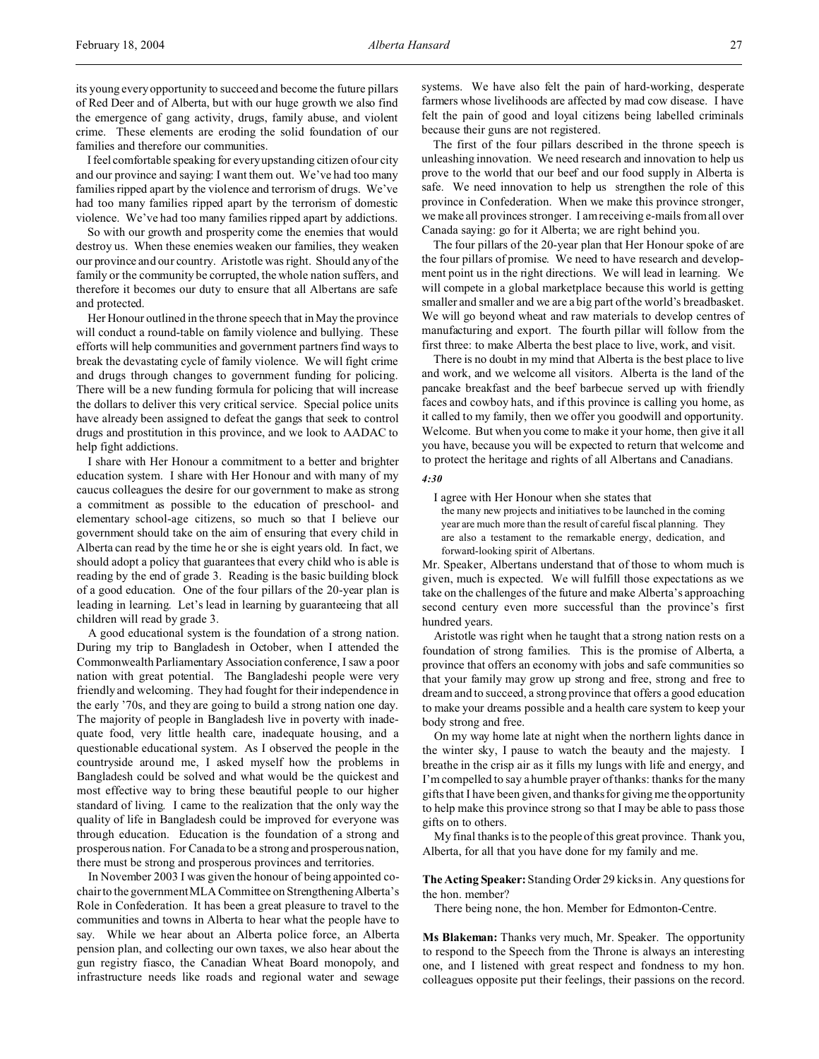its young every opportunity to succeed and become the future pillars of Red Deer and of Alberta, but with our huge growth we also find the emergence of gang activity, drugs, family abuse, and violent crime. These elements are eroding the solid foundation of our families and therefore our communities.

I feel comfortable speaking for every upstanding citizen of our city and our province and saying: I want them out. We've had too many families ripped apart by the violence and terrorism of drugs. We've had too many families ripped apart by the terrorism of domestic violence. We've had too many families ripped apart by addictions.

So with our growth and prosperity come the enemies that would destroy us. When these enemies weaken our families, they weaken our province and our country. Aristotle was right. Should any of the family or the community be corrupted, the whole nation suffers, and therefore it becomes our duty to ensure that all Albertans are safe and protected.

Her Honour outlined in the throne speech that in May the province will conduct a round-table on family violence and bullying. These efforts will help communities and government partners find ways to break the devastating cycle of family violence. We will fight crime and drugs through changes to government funding for policing. There will be a new funding formula for policing that will increase the dollars to deliver this very critical service. Special police units have already been assigned to defeat the gangs that seek to control drugs and prostitution in this province, and we look to AADAC to help fight addictions.

I share with Her Honour a commitment to a better and brighter education system. I share with Her Honour and with many of my caucus colleagues the desire for our government to make as strong a commitment as possible to the education of preschool- and elementary school-age citizens, so much so that I believe our government should take on the aim of ensuring that every child in Alberta can read by the time he or she is eight years old. In fact, we should adopt a policy that guarantees that every child who is able is reading by the end of grade 3. Reading is the basic building block of a good education. One of the four pillars of the 20-year plan is leading in learning. Let's lead in learning by guaranteeing that all children will read by grade 3.

A good educational system is the foundation of a strong nation. During my trip to Bangladesh in October, when I attended the Commonwealth Parliamentary Association conference, I saw a poor nation with great potential. The Bangladeshi people were very friendly and welcoming. They had fought for their independence in the early '70s, and they are going to build a strong nation one day. The majority of people in Bangladesh live in poverty with inadequate food, very little health care, inadequate housing, and a questionable educational system. As I observed the people in the countryside around me, I asked myself how the problems in Bangladesh could be solved and what would be the quickest and most effective way to bring these beautiful people to our higher standard of living. I came to the realization that the only way the quality of life in Bangladesh could be improved for everyone was through education. Education is the foundation of a strong and prosperous nation. For Canada to be a strong and prosperous nation, there must be strong and prosperous provinces and territories.

In November 2003 I was given the honour of being appointed cochair to the government MLA Committee on StrengtheningAlberta's Role in Confederation. It has been a great pleasure to travel to the communities and towns in Alberta to hear what the people have to say. While we hear about an Alberta police force, an Alberta pension plan, and collecting our own taxes, we also hear about the gun registry fiasco, the Canadian Wheat Board monopoly, and infrastructure needs like roads and regional water and sewage

systems. We have also felt the pain of hard-working, desperate farmers whose livelihoods are affected by mad cow disease. I have felt the pain of good and loyal citizens being labelled criminals because their guns are not registered.

The first of the four pillars described in the throne speech is unleashing innovation. We need research and innovation to help us prove to the world that our beef and our food supply in Alberta is safe. We need innovation to help us strengthen the role of this province in Confederation. When we make this province stronger, we make all provinces stronger. I am receiving e-mails from all over Canada saying: go for it Alberta; we are right behind you.

The four pillars of the 20-year plan that Her Honour spoke of are the four pillars of promise. We need to have research and development point us in the right directions. We will lead in learning. We will compete in a global marketplace because this world is getting smaller and smaller and we are a big part of the world's breadbasket. We will go beyond wheat and raw materials to develop centres of manufacturing and export. The fourth pillar will follow from the first three: to make Alberta the best place to live, work, and visit.

There is no doubt in my mind that Alberta is the best place to live and work, and we welcome all visitors. Alberta is the land of the pancake breakfast and the beef barbecue served up with friendly faces and cowboy hats, and if this province is calling you home, as it called to my family, then we offer you goodwill and opportunity. Welcome. But when you come to make it your home, then give it all you have, because you will be expected to return that welcome and to protect the heritage and rights of all Albertans and Canadians.

#### *4:30*

I agree with Her Honour when she states that the many new projects and initiatives to be launched in the coming year are much more than the result of careful fiscal planning. They are also a testament to the remarkable energy, dedication, and

forward-looking spirit of Albertans. Mr. Speaker, Albertans understand that of those to whom much is given, much is expected. We will fulfill those expectations as we take on the challenges of the future and make Alberta's approaching second century even more successful than the province's first hundred years.

Aristotle was right when he taught that a strong nation rests on a foundation of strong families. This is the promise of Alberta, a province that offers an economy with jobs and safe communities so that your family may grow up strong and free, strong and free to dream and to succeed, a strong province that offers a good education to make your dreams possible and a health care system to keep your body strong and free.

On my way home late at night when the northern lights dance in the winter sky, I pause to watch the beauty and the majesty. I breathe in the crisp air as it fills my lungs with life and energy, and I'm compelled to say a humble prayer of thanks: thanks for the many gifts that I have been given, and thanks for giving me the opportunity to help make this province strong so that I may be able to pass those gifts on to others.

My final thanks is to the people of this great province. Thank you, Alberta, for all that you have done for my family and me.

**The Acting Speaker:** Standing Order 29 kicks in. Any questions for the hon. member?

There being none, the hon. Member for Edmonton-Centre.

**Ms Blakeman:** Thanks very much, Mr. Speaker. The opportunity to respond to the Speech from the Throne is always an interesting one, and I listened with great respect and fondness to my hon. colleagues opposite put their feelings, their passions on the record.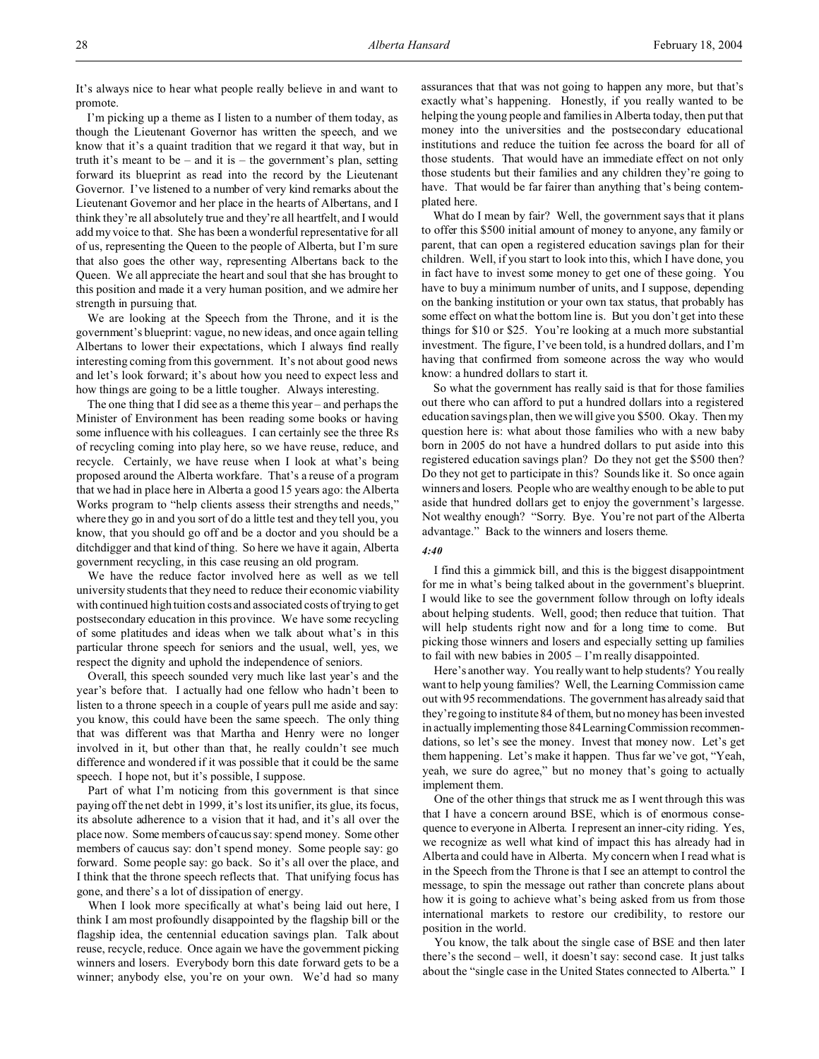It's always nice to hear what people really believe in and want to promote.

I'm picking up a theme as I listen to a number of them today, as though the Lieutenant Governor has written the speech, and we know that it's a quaint tradition that we regard it that way, but in truth it's meant to be – and it is – the government's plan, setting forward its blueprint as read into the record by the Lieutenant Governor. I've listened to a number of very kind remarks about the Lieutenant Governor and her place in the hearts of Albertans, and I think they're all absolutely true and they're all heartfelt, and I would add my voice to that. She has been a wonderful representative for all of us, representing the Queen to the people of Alberta, but I'm sure that also goes the other way, representing Albertans back to the Queen. We all appreciate the heart and soul that she has brought to this position and made it a very human position, and we admire her strength in pursuing that.

We are looking at the Speech from the Throne, and it is the government's blueprint: vague, no new ideas, and once again telling Albertans to lower their expectations, which I always find really interesting coming from this government. It's not about good news and let's look forward; it's about how you need to expect less and how things are going to be a little tougher. Always interesting.

The one thing that I did see as a theme this year – and perhaps the Minister of Environment has been reading some books or having some influence with his colleagues. I can certainly see the three Rs of recycling coming into play here, so we have reuse, reduce, and recycle. Certainly, we have reuse when I look at what's being proposed around the Alberta workfare. That's a reuse of a program that we had in place here in Alberta a good 15 years ago: the Alberta Works program to "help clients assess their strengths and needs," where they go in and you sort of do a little test and they tell you, you know, that you should go off and be a doctor and you should be a ditchdigger and that kind of thing. So here we have it again, Alberta government recycling, in this case reusing an old program.

We have the reduce factor involved here as well as we tell university students that they need to reduce their economic viability with continued high tuition costs and associated costs of trying to get postsecondary education in this province. We have some recycling of some platitudes and ideas when we talk about what's in this particular throne speech for seniors and the usual, well, yes, we respect the dignity and uphold the independence of seniors.

Overall, this speech sounded very much like last year's and the year's before that. I actually had one fellow who hadn't been to listen to a throne speech in a couple of years pull me aside and say: you know, this could have been the same speech. The only thing that was different was that Martha and Henry were no longer involved in it, but other than that, he really couldn't see much difference and wondered if it was possible that it could be the same speech. I hope not, but it's possible, I suppose.

Part of what I'm noticing from this government is that since paying off the net debt in 1999, it's lost its unifier, its glue, its focus, its absolute adherence to a vision that it had, and it's all over the place now. Some members of caucus say: spend money. Some other members of caucus say: don't spend money. Some people say: go forward. Some people say: go back. So it's all over the place, and I think that the throne speech reflects that. That unifying focus has gone, and there's a lot of dissipation of energy.

When I look more specifically at what's being laid out here, I think I am most profoundly disappointed by the flagship bill or the flagship idea, the centennial education savings plan. Talk about reuse, recycle, reduce. Once again we have the government picking winners and losers. Everybody born this date forward gets to be a winner; anybody else, you're on your own. We'd had so many assurances that that was not going to happen any more, but that's exactly what's happening. Honestly, if you really wanted to be helping the young people and families in Alberta today, then put that money into the universities and the postsecondary educational institutions and reduce the tuition fee across the board for all of those students. That would have an immediate effect on not only those students but their families and any children they're going to have. That would be far fairer than anything that's being contemplated here.

What do I mean by fair? Well, the government says that it plans to offer this \$500 initial amount of money to anyone, any family or parent, that can open a registered education savings plan for their children. Well, if you start to look into this, which I have done, you in fact have to invest some money to get one of these going. You have to buy a minimum number of units, and I suppose, depending on the banking institution or your own tax status, that probably has some effect on what the bottom line is. But you don't get into these things for \$10 or \$25. You're looking at a much more substantial investment. The figure, I've been told, is a hundred dollars, and I'm having that confirmed from someone across the way who would know: a hundred dollars to start it.

So what the government has really said is that for those families out there who can afford to put a hundred dollars into a registered education savings plan, then we will give you \$500. Okay. Then my question here is: what about those families who with a new baby born in 2005 do not have a hundred dollars to put aside into this registered education savings plan? Do they not get the \$500 then? Do they not get to participate in this? Sounds like it. So once again winners and losers. People who are wealthy enough to be able to put aside that hundred dollars get to enjoy the government's largesse. Not wealthy enough? "Sorry. Bye. You're not part of the Alberta advantage." Back to the winners and losers theme.

*4:40*

I find this a gimmick bill, and this is the biggest disappointment for me in what's being talked about in the government's blueprint. I would like to see the government follow through on lofty ideals about helping students. Well, good; then reduce that tuition. That will help students right now and for a long time to come. But picking those winners and losers and especially setting up families to fail with new babies in 2005 – I'm really disappointed.

Here's another way. You really want to help students? You really want to help young families? Well, the Learning Commission came out with 95 recommendations. The government has already said that they're going to institute 84 of them, but no money has been invested in actually implementing those 84 Learning Commission recommendations, so let's see the money. Invest that money now. Let's get them happening. Let's make it happen. Thus far we've got, "Yeah, yeah, we sure do agree," but no money that's going to actually implement them.

One of the other things that struck me as I went through this was that I have a concern around BSE, which is of enormous consequence to everyone in Alberta. I represent an inner-city riding. Yes, we recognize as well what kind of impact this has already had in Alberta and could have in Alberta. My concern when I read what is in the Speech from the Throne is that I see an attempt to control the message, to spin the message out rather than concrete plans about how it is going to achieve what's being asked from us from those international markets to restore our credibility, to restore our position in the world.

You know, the talk about the single case of BSE and then later there's the second – well, it doesn't say: second case. It just talks about the "single case in the United States connected to Alberta." I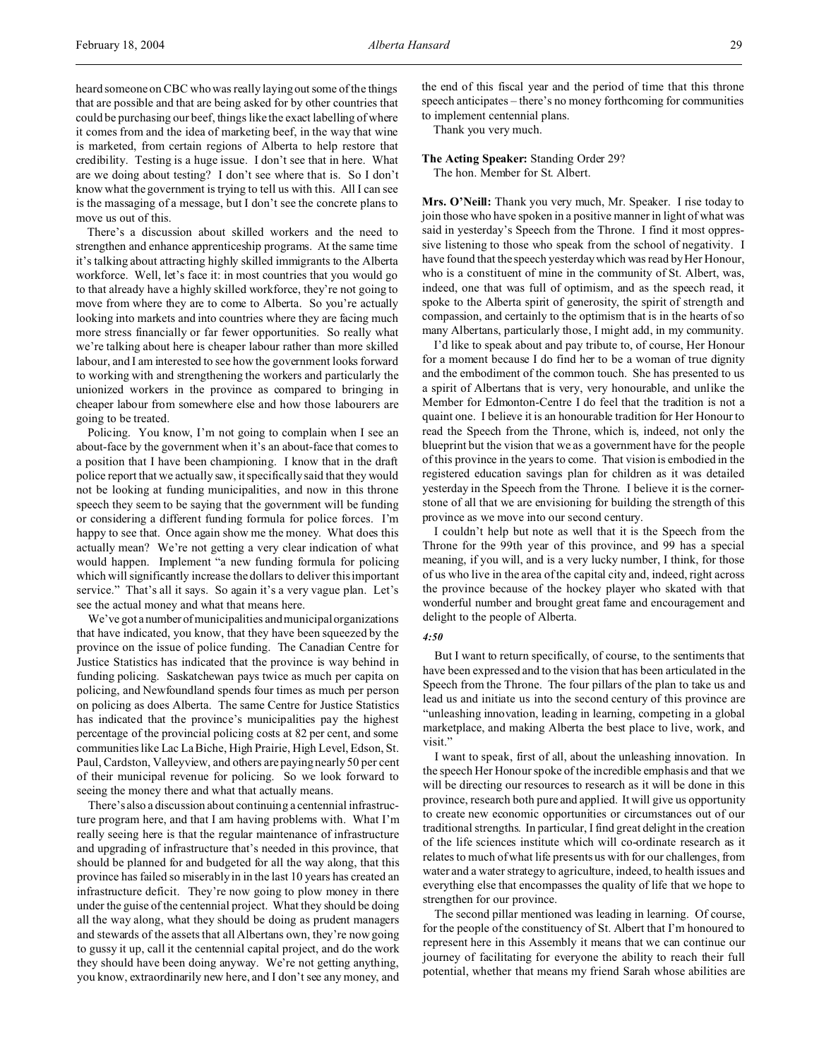heard someone on CBC who was really laying out some of the things that are possible and that are being asked for by other countries that could be purchasing our beef, things like the exact labelling of where it comes from and the idea of marketing beef, in the way that wine is marketed, from certain regions of Alberta to help restore that credibility. Testing is a huge issue. I don't see that in here. What are we doing about testing? I don't see where that is. So I don't know what the government is trying to tell us with this. All I can see is the massaging of a message, but I don't see the concrete plans to move us out of this.

There's a discussion about skilled workers and the need to strengthen and enhance apprenticeship programs. At the same time it's talking about attracting highly skilled immigrants to the Alberta workforce. Well, let's face it: in most countries that you would go to that already have a highly skilled workforce, they're not going to move from where they are to come to Alberta. So you're actually looking into markets and into countries where they are facing much more stress financially or far fewer opportunities. So really what we're talking about here is cheaper labour rather than more skilled labour, and I am interested to see how the government looks forward to working with and strengthening the workers and particularly the unionized workers in the province as compared to bringing in cheaper labour from somewhere else and how those labourers are going to be treated.

Policing. You know, I'm not going to complain when I see an about-face by the government when it's an about-face that comes to a position that I have been championing. I know that in the draft police report that we actually saw, it specifically said that they would not be looking at funding municipalities, and now in this throne speech they seem to be saying that the government will be funding or considering a different funding formula for police forces. I'm happy to see that. Once again show me the money. What does this actually mean? We're not getting a very clear indication of what would happen. Implement "a new funding formula for policing which will significantly increase the dollars to deliver this important service." That's all it says. So again it's a very vague plan. Let's see the actual money and what that means here.

We've got a number of municipalities and municipal organizations that have indicated, you know, that they have been squeezed by the province on the issue of police funding. The Canadian Centre for Justice Statistics has indicated that the province is way behind in funding policing. Saskatchewan pays twice as much per capita on policing, and Newfoundland spends four times as much per person on policing as does Alberta. The same Centre for Justice Statistics has indicated that the province's municipalities pay the highest percentage of the provincial policing costs at 82 per cent, and some communities like Lac La Biche, High Prairie, High Level, Edson, St. Paul, Cardston, Valleyview, and others are paying nearly 50 per cent of their municipal revenue for policing. So we look forward to seeing the money there and what that actually means.

There's also a discussion about continuing a centennial infrastructure program here, and that I am having problems with. What I'm really seeing here is that the regular maintenance of infrastructure and upgrading of infrastructure that's needed in this province, that should be planned for and budgeted for all the way along, that this province has failed so miserably in in the last 10 years has created an infrastructure deficit. They're now going to plow money in there under the guise of the centennial project. What they should be doing all the way along, what they should be doing as prudent managers and stewards of the assets that all Albertans own, they're now going to gussy it up, call it the centennial capital project, and do the work they should have been doing anyway. We're not getting anything, you know, extraordinarily new here, and I don't see any money, and

the end of this fiscal year and the period of time that this throne speech anticipates – there's no money forthcoming for communities to implement centennial plans.

Thank you very much.

**The Acting Speaker:** Standing Order 29?

The hon. Member for St. Albert.

**Mrs. O'Neill:** Thank you very much, Mr. Speaker. I rise today to join those who have spoken in a positive manner in light of what was said in yesterday's Speech from the Throne. I find it most oppressive listening to those who speak from the school of negativity. I have found that the speech yesterday which was read by Her Honour, who is a constituent of mine in the community of St. Albert, was, indeed, one that was full of optimism, and as the speech read, it spoke to the Alberta spirit of generosity, the spirit of strength and compassion, and certainly to the optimism that is in the hearts of so many Albertans, particularly those, I might add, in my community.

I'd like to speak about and pay tribute to, of course, Her Honour for a moment because I do find her to be a woman of true dignity and the embodiment of the common touch. She has presented to us a spirit of Albertans that is very, very honourable, and unlike the Member for Edmonton-Centre I do feel that the tradition is not a quaint one. I believe it is an honourable tradition for Her Honour to read the Speech from the Throne, which is, indeed, not only the blueprint but the vision that we as a government have for the people of this province in the years to come. That vision is embodied in the registered education savings plan for children as it was detailed yesterday in the Speech from the Throne. I believe it is the cornerstone of all that we are envisioning for building the strength of this province as we move into our second century.

I couldn't help but note as well that it is the Speech from the Throne for the 99th year of this province, and 99 has a special meaning, if you will, and is a very lucky number, I think, for those of us who live in the area of the capital city and, indeed, right across the province because of the hockey player who skated with that wonderful number and brought great fame and encouragement and delight to the people of Alberta.

### *4:50*

But I want to return specifically, of course, to the sentiments that have been expressed and to the vision that has been articulated in the Speech from the Throne. The four pillars of the plan to take us and lead us and initiate us into the second century of this province are "unleashing innovation, leading in learning, competing in a global marketplace, and making Alberta the best place to live, work, and visit."

I want to speak, first of all, about the unleashing innovation. In the speech Her Honour spoke of the incredible emphasis and that we will be directing our resources to research as it will be done in this province, research both pure and applied. It will give us opportunity to create new economic opportunities or circumstances out of our traditional strengths. In particular, I find great delight in the creation of the life sciences institute which will co-ordinate research as it relates to much of what life presents us with for our challenges, from water and a water strategy to agriculture, indeed, to health issues and everything else that encompasses the quality of life that we hope to strengthen for our province.

The second pillar mentioned was leading in learning. Of course, for the people of the constituency of St. Albert that I'm honoured to represent here in this Assembly it means that we can continue our journey of facilitating for everyone the ability to reach their full potential, whether that means my friend Sarah whose abilities are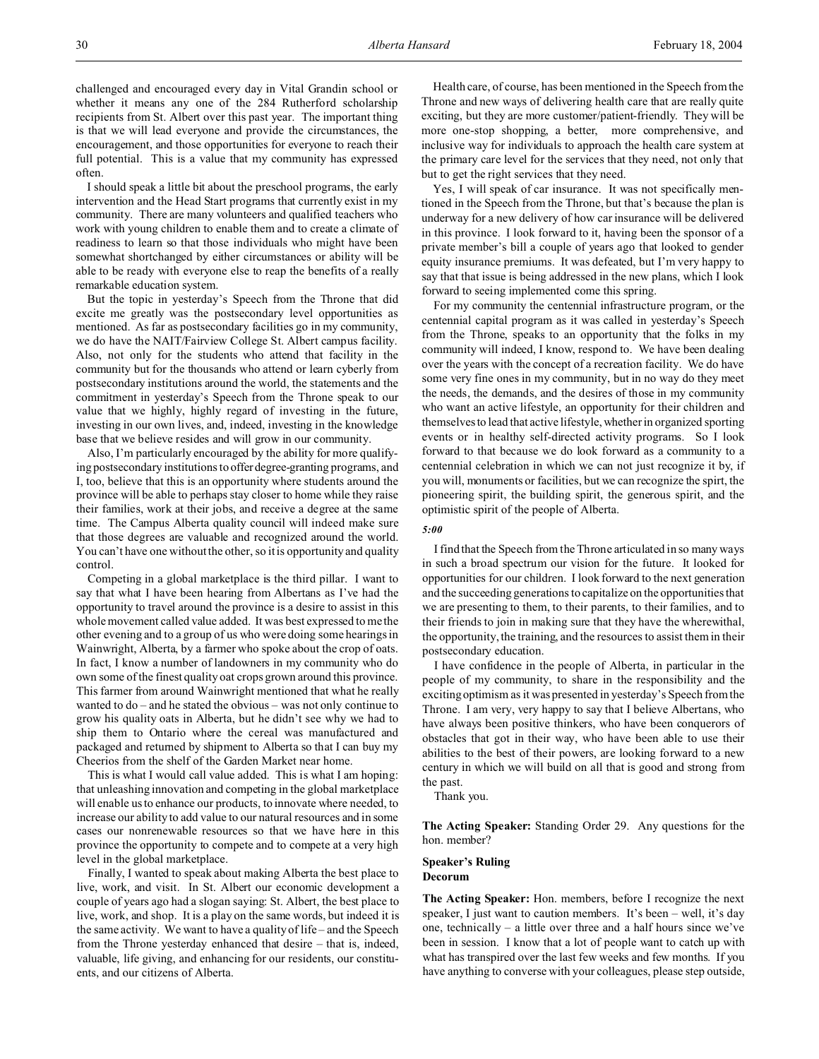challenged and encouraged every day in Vital Grandin school or whether it means any one of the 284 Rutherford scholarship recipients from St. Albert over this past year. The important thing is that we will lead everyone and provide the circumstances, the encouragement, and those opportunities for everyone to reach their full potential. This is a value that my community has expressed often.

I should speak a little bit about the preschool programs, the early intervention and the Head Start programs that currently exist in my community. There are many volunteers and qualified teachers who work with young children to enable them and to create a climate of readiness to learn so that those individuals who might have been somewhat shortchanged by either circumstances or ability will be able to be ready with everyone else to reap the benefits of a really remarkable education system.

But the topic in yesterday's Speech from the Throne that did excite me greatly was the postsecondary level opportunities as mentioned. As far as postsecondary facilities go in my community, we do have the NAIT/Fairview College St. Albert campus facility. Also, not only for the students who attend that facility in the community but for the thousands who attend or learn cyberly from postsecondary institutions around the world, the statements and the commitment in yesterday's Speech from the Throne speak to our value that we highly, highly regard of investing in the future, investing in our own lives, and, indeed, investing in the knowledge base that we believe resides and will grow in our community.

Also, I'm particularly encouraged by the ability for more qualifying postsecondary institutions to offerdegree-granting programs, and I, too, believe that this is an opportunity where students around the province will be able to perhaps stay closer to home while they raise their families, work at their jobs, and receive a degree at the same time. The Campus Alberta quality council will indeed make sure that those degrees are valuable and recognized around the world. You can't have one without the other, so it is opportunity and quality control.

Competing in a global marketplace is the third pillar. I want to say that what I have been hearing from Albertans as I've had the opportunity to travel around the province is a desire to assist in this whole movement called value added. It was best expressed to me the other evening and to a group of us who were doing some hearings in Wainwright, Alberta, by a farmer who spoke about the crop of oats. In fact, I know a number of landowners in my community who do own some of the finest quality oat crops grown around this province. This farmer from around Wainwright mentioned that what he really wanted to do – and he stated the obvious – was not only continue to grow his quality oats in Alberta, but he didn't see why we had to ship them to Ontario where the cereal was manufactured and packaged and returned by shipment to Alberta so that I can buy my Cheerios from the shelf of the Garden Market near home.

This is what I would call value added. This is what I am hoping: that unleashing innovation and competing in the global marketplace will enable us to enhance our products, to innovate where needed, to increase our ability to add value to our natural resources and in some cases our nonrenewable resources so that we have here in this province the opportunity to compete and to compete at a very high level in the global marketplace.

Finally, I wanted to speak about making Alberta the best place to live, work, and visit. In St. Albert our economic development a couple of years ago had a slogan saying: St. Albert, the best place to live, work, and shop. It is a play on the same words, but indeed it is the same activity. We want to have a quality of life – and the Speech from the Throne yesterday enhanced that desire – that is, indeed, valuable, life giving, and enhancing for our residents, our constituents, and our citizens of Alberta.

Health care, of course, has been mentioned in the Speech from the Throne and new ways of delivering health care that are really quite exciting, but they are more customer/patient-friendly. They will be more one-stop shopping, a better, more comprehensive, and inclusive way for individuals to approach the health care system at the primary care level for the services that they need, not only that but to get the right services that they need.

Yes, I will speak of car insurance. It was not specifically mentioned in the Speech from the Throne, but that's because the plan is underway for a new delivery of how car insurance will be delivered in this province. I look forward to it, having been the sponsor of a private member's bill a couple of years ago that looked to gender equity insurance premiums. It was defeated, but I'm very happy to say that that issue is being addressed in the new plans, which I look forward to seeing implemented come this spring.

For my community the centennial infrastructure program, or the centennial capital program as it was called in yesterday's Speech from the Throne, speaks to an opportunity that the folks in my community will indeed, I know, respond to. We have been dealing over the years with the concept of a recreation facility. We do have some very fine ones in my community, but in no way do they meet the needs, the demands, and the desires of those in my community who want an active lifestyle, an opportunity for their children and themselves to lead that active lifestyle, whether in organized sporting events or in healthy self-directed activity programs. So I look forward to that because we do look forward as a community to a centennial celebration in which we can not just recognize it by, if you will, monuments or facilities, but we can recognize the spirt, the pioneering spirit, the building spirit, the generous spirit, and the optimistic spirit of the people of Alberta.

### *5:00*

I find that the Speech from the Throne articulated in so many ways in such a broad spectrum our vision for the future. It looked for opportunities for our children. I look forward to the next generation and the succeeding generations to capitalize on the opportunities that we are presenting to them, to their parents, to their families, and to their friends to join in making sure that they have the wherewithal, the opportunity, the training, and the resources to assist them in their postsecondary education.

I have confidence in the people of Alberta, in particular in the people of my community, to share in the responsibility and the exciting optimism as it was presented in yesterday's Speech from the Throne. I am very, very happy to say that I believe Albertans, who have always been positive thinkers, who have been conquerors of obstacles that got in their way, who have been able to use their abilities to the best of their powers, are looking forward to a new century in which we will build on all that is good and strong from the past.

Thank you.

**The Acting Speaker:** Standing Order 29. Any questions for the hon. member?

### **Speaker's Ruling Decorum**

**The Acting Speaker:** Hon. members, before I recognize the next speaker, I just want to caution members. It's been – well, it's day one, technically – a little over three and a half hours since we've been in session. I know that a lot of people want to catch up with what has transpired over the last few weeks and few months. If you have anything to converse with your colleagues, please step outside,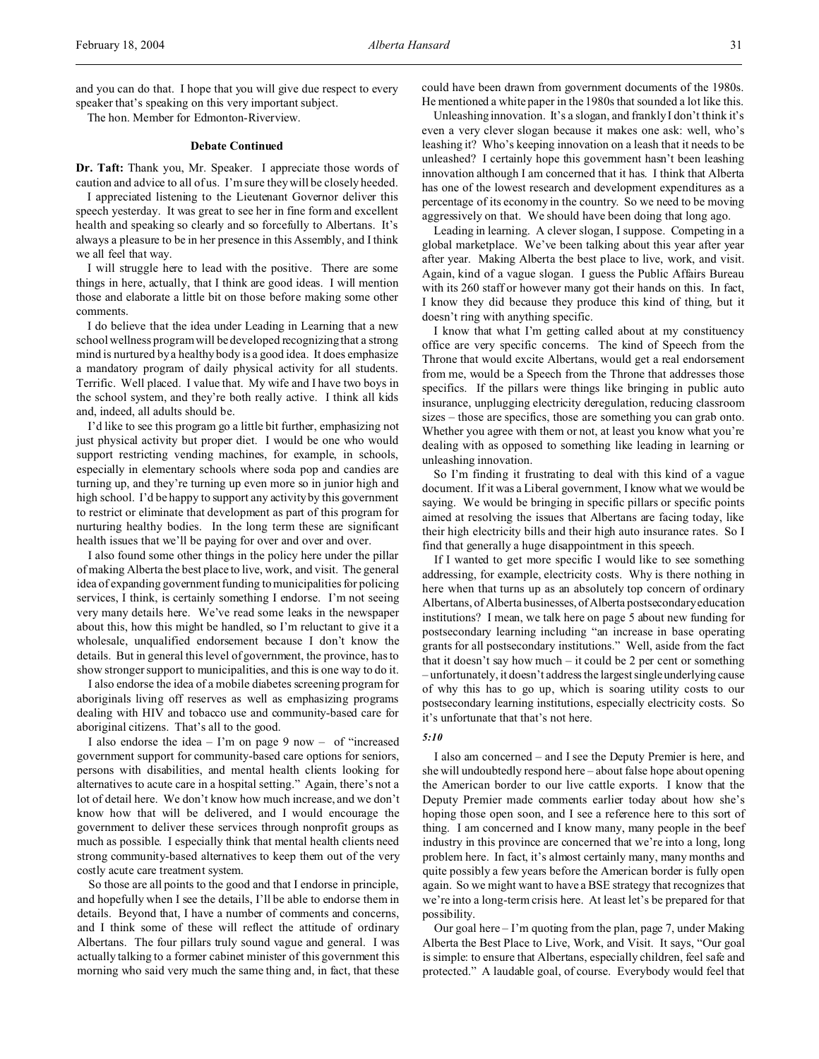and you can do that. I hope that you will give due respect to every speaker that's speaking on this very important subject.

The hon. Member for Edmonton-Riverview.

### **Debate Continued**

**Dr. Taft:** Thank you, Mr. Speaker. I appreciate those words of caution and advice to all of us. I'm sure they will be closely heeded.

I appreciated listening to the Lieutenant Governor deliver this speech yesterday. It was great to see her in fine form and excellent health and speaking so clearly and so forcefully to Albertans. It's always a pleasure to be in her presence in this Assembly, and I think we all feel that way.

I will struggle here to lead with the positive. There are some things in here, actually, that I think are good ideas. I will mention those and elaborate a little bit on those before making some other comments.

I do believe that the idea under Leading in Learning that a new school wellness program will be developed recognizing that a strong mind is nurtured by a healthy body is a good idea. It does emphasize a mandatory program of daily physical activity for all students. Terrific. Well placed. I value that. My wife and I have two boys in the school system, and they're both really active. I think all kids and, indeed, all adults should be.

I'd like to see this program go a little bit further, emphasizing not just physical activity but proper diet. I would be one who would support restricting vending machines, for example, in schools, especially in elementary schools where soda pop and candies are turning up, and they're turning up even more so in junior high and high school. I'd be happy to support any activity by this government to restrict or eliminate that development as part of this program for nurturing healthy bodies. In the long term these are significant health issues that we'll be paying for over and over and over.

I also found some other things in the policy here under the pillar of making Alberta the best place to live, work, and visit. The general idea of expanding government funding to municipalities for policing services, I think, is certainly something I endorse. I'm not seeing very many details here. We've read some leaks in the newspaper about this, how this might be handled, so I'm reluctant to give it a wholesale, unqualified endorsement because I don't know the details. But in general this level of government, the province, has to show stronger support to municipalities, and this is one way to do it.

I also endorse the idea of a mobile diabetes screening program for aboriginals living off reserves as well as emphasizing programs dealing with HIV and tobacco use and community-based care for aboriginal citizens. That's all to the good.

I also endorse the idea  $-$  I'm on page 9 now  $-$  of "increased" government support for community-based care options for seniors, persons with disabilities, and mental health clients looking for alternatives to acute care in a hospital setting." Again, there's not a lot of detail here. We don't know how much increase, and we don't know how that will be delivered, and I would encourage the government to deliver these services through nonprofit groups as much as possible. I especially think that mental health clients need strong community-based alternatives to keep them out of the very costly acute care treatment system.

So those are all points to the good and that I endorse in principle, and hopefully when I see the details, I'll be able to endorse them in details. Beyond that, I have a number of comments and concerns, and I think some of these will reflect the attitude of ordinary Albertans. The four pillars truly sound vague and general. I was actually talking to a former cabinet minister of this government this morning who said very much the same thing and, in fact, that these

could have been drawn from government documents of the 1980s. He mentioned a white paper in the 1980s that sounded a lot like this.

Unleashing innovation. It's a slogan, and frankly I don't think it's even a very clever slogan because it makes one ask: well, who's leashing it? Who's keeping innovation on a leash that it needs to be unleashed? I certainly hope this government hasn't been leashing innovation although I am concerned that it has. I think that Alberta has one of the lowest research and development expenditures as a percentage of its economy in the country. So we need to be moving aggressively on that. We should have been doing that long ago.

Leading in learning. A clever slogan, I suppose. Competing in a global marketplace. We've been talking about this year after year after year. Making Alberta the best place to live, work, and visit. Again, kind of a vague slogan. I guess the Public Affairs Bureau with its 260 staff or however many got their hands on this. In fact, I know they did because they produce this kind of thing, but it doesn't ring with anything specific.

I know that what I'm getting called about at my constituency office are very specific concerns. The kind of Speech from the Throne that would excite Albertans, would get a real endorsement from me, would be a Speech from the Throne that addresses those specifics. If the pillars were things like bringing in public auto insurance, unplugging electricity deregulation, reducing classroom sizes – those are specifics, those are something you can grab onto. Whether you agree with them or not, at least you know what you're dealing with as opposed to something like leading in learning or unleashing innovation.

So I'm finding it frustrating to deal with this kind of a vague document. If it was a Liberal government, I know what we would be saying. We would be bringing in specific pillars or specific points aimed at resolving the issues that Albertans are facing today, like their high electricity bills and their high auto insurance rates. So I find that generally a huge disappointment in this speech.

If I wanted to get more specific I would like to see something addressing, for example, electricity costs. Why is there nothing in here when that turns up as an absolutely top concern of ordinary Albertans, of Alberta businesses, of Alberta postsecondary education institutions? I mean, we talk here on page 5 about new funding for postsecondary learning including "an increase in base operating grants for all postsecondary institutions." Well, aside from the fact that it doesn't say how much – it could be 2 per cent or something – unfortunately, it doesn't address the largest singleunderlying cause of why this has to go up, which is soaring utility costs to our postsecondary learning institutions, especially electricity costs. So it's unfortunate that that's not here.

### *5:10*

I also am concerned – and I see the Deputy Premier is here, and she will undoubtedly respond here – about false hope about opening the American border to our live cattle exports. I know that the Deputy Premier made comments earlier today about how she's hoping those open soon, and I see a reference here to this sort of thing. I am concerned and I know many, many people in the beef industry in this province are concerned that we're into a long, long problem here. In fact, it's almost certainly many, many months and quite possibly a few years before the American border is fully open again. So we might want to have a BSE strategy that recognizes that we're into a long-term crisis here. At least let's be prepared for that possibility.

Our goal here – I'm quoting from the plan, page 7, under Making Alberta the Best Place to Live, Work, and Visit. It says, "Our goal is simple: to ensure that Albertans, especially children, feel safe and protected." A laudable goal, of course. Everybody would feel that